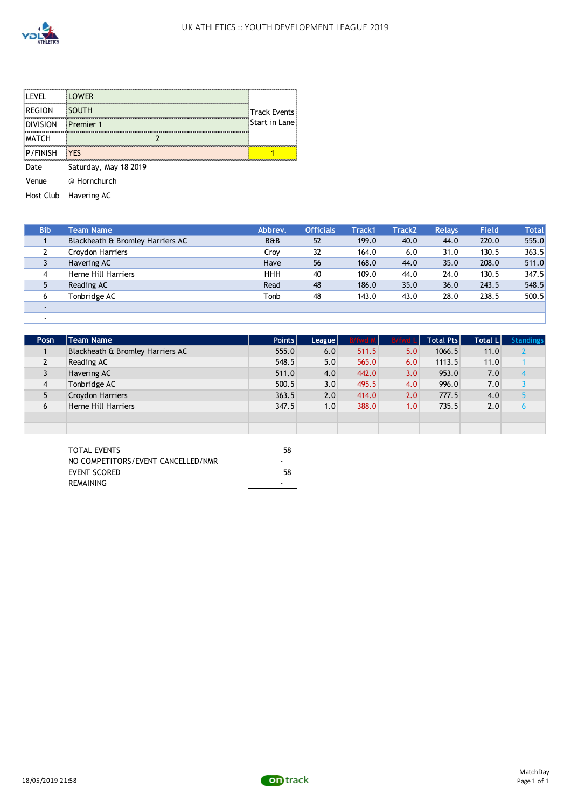

| <b>LEVEL</b>    | <b>LOWER</b>                             |                     |
|-----------------|------------------------------------------|---------------------|
| <b>REGION</b>   | <b>SOUTH</b>                             | <b>Track Events</b> |
| <b>DIVISION</b> | ,,,,,,,,,,,,,,,,,,,,<br><b>Premier 1</b> | Start in Lane       |
| <b>MATCH</b>    |                                          |                     |
| P/FINISH        | <b>YFS</b>                               |                     |
| ate)            | Saturday, May 18 2019                    |                     |

Venue @ Hornchurch

Host Club Havering AC

| <b>Bib</b> | Team Name                        | Abbrev.        | <b>Officials</b> | <b>Track1</b> | <b>Track2</b> | <b>Relays</b> | <b>Field</b> | <b>Total</b> |
|------------|----------------------------------|----------------|------------------|---------------|---------------|---------------|--------------|--------------|
|            | Blackheath & Bromley Harriers AC | <b>B&amp;B</b> | 52               | 199.0         | 40.0          | 44.0          | 220.0        | 555.0        |
|            | Croydon Harriers                 | Croy           | 32               | 164.0         | 6.0           | 31.0          | 130.5        | 363.5        |
|            | Havering AC                      | Have           | 56               | 168.0         | 44.0          | 35.0          | 208.0        | 511.0        |
| 4          | Herne Hill Harriers              | <b>HHH</b>     | 40               | 109.0         | 44.0          | 24.0          | 130.5        | 347.5        |
|            | Reading AC                       | Read           | 48               | 186.0         | 35.0          | 36.0          | 243.5        | 548.5        |
| 6          | Tonbridge AC                     | Tonb           | 48               | 143.0         | 43.0          | 28.0          | 238.5        | 500.5        |
|            |                                  |                |                  |               |               |               |              |              |
|            |                                  |                |                  |               |               |               |              |              |

| Posn           | Team Name                        | Points | League | <b>B/fwd M</b> | <b>B/fwd Ll</b> | <b>Total Ptsl</b> | <b>Total L</b> | <b>Standings</b> |
|----------------|----------------------------------|--------|--------|----------------|-----------------|-------------------|----------------|------------------|
|                | Blackheath & Bromley Harriers AC | 555.0  | 6.0    | 511.5          | 5.0             | 1066.5            | 11.0           |                  |
| $\overline{2}$ | Reading AC                       | 548.5  | 5.0    | 565.0          | 6.0             | 1113.5            | 11.0           |                  |
|                | Havering AC                      | 511.0  | 4.0    | 442.0          | 3.0             | 953.0             | 7.0            |                  |
| 4              | Tonbridge AC                     | 500.5  | 3.0    | 495.5          | 4.0             | 996.0             | 7.0            |                  |
|                | Croydon Harriers                 | 363.5  | 2.0    | 414.0          | 2.0             | 777.5             | 4.0            |                  |
| 6              | Herne Hill Harriers              | 347.5  | 1.0    | 388.0          | 1.0             | 735.5             | 2.0            |                  |
|                |                                  |        |        |                |                 |                   |                |                  |
|                |                                  |        |        |                |                 |                   |                |                  |

| <b>TOTAL EVENTS</b>                | 58 |
|------------------------------------|----|
| NO COMPETITORS/EVENT CANCELLED/NMR |    |
| EVENT SCORED                       | 58 |
| REMAINING                          |    |

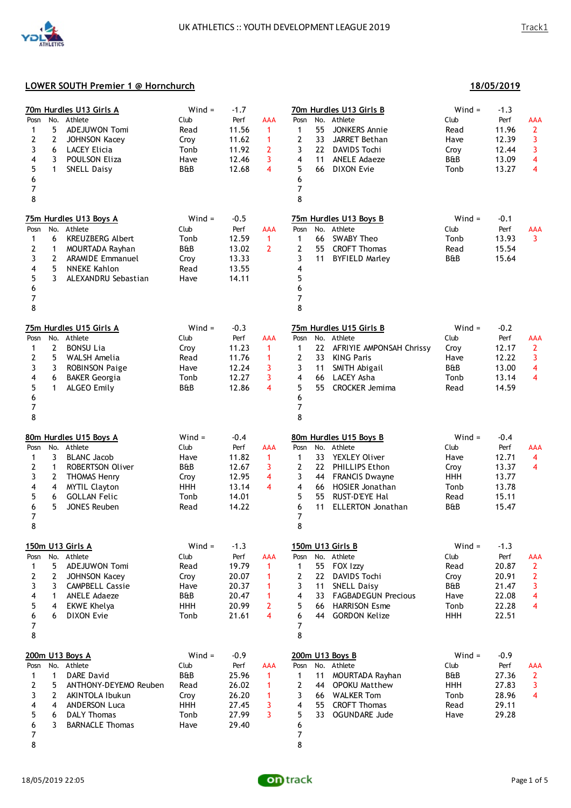

**18/05/2019**

| No.<br>Posn<br>5<br>1<br>2<br>$\overline{2}$<br>3<br>6<br>4<br>3<br>5<br>1<br>6<br>7<br>8                             | 70m Hurdles U13 Girls A<br>Athlete<br>ADEJUWON Tomi<br>JOHNSON Kacey<br><b>LACEY Elicia</b><br>POULSON Eliza<br><b>SNELL Daisy</b>                                              | $Wind =$<br>Club<br>Read<br>Croy<br>Tonb<br>Have<br><b>B&amp;B</b>    | $-1.7$<br>Perf<br>11.56<br>11.62<br>11.92<br>12.46<br>12.68          | AAA<br>1<br>1<br>2<br>3<br>4                                     | $Wind =$<br>70m Hurdles U13 Girls B<br>$-1.3$<br>Club<br>No.<br>Athlete<br>Perf<br>Posn<br>AAA<br>55<br>11.96<br><b>JONKERS Annie</b><br>$\overline{2}$<br>1<br>Read<br>2<br>33<br>3<br>JARRET Bethan<br>12.39<br>Have<br>3<br>3<br>22 DAVIDS Tochi<br>Croy<br>12.44<br>4<br><b>ANELE Adaeze</b><br>B&B<br>13.09<br>4<br>11<br>5<br><b>DIXON Evie</b><br>$\overline{\mathbf{4}}$<br>66<br>Tonb<br>13.27<br>6<br>7<br>8                                                                             |  |
|-----------------------------------------------------------------------------------------------------------------------|---------------------------------------------------------------------------------------------------------------------------------------------------------------------------------|-----------------------------------------------------------------------|----------------------------------------------------------------------|------------------------------------------------------------------|----------------------------------------------------------------------------------------------------------------------------------------------------------------------------------------------------------------------------------------------------------------------------------------------------------------------------------------------------------------------------------------------------------------------------------------------------------------------------------------------------|--|
| No.<br>Posn<br>6<br>1<br>2<br>$\mathbf{1}$<br>3<br>2<br>5<br>4<br>5<br>3<br>6<br>7<br>8                               | 75m Hurdles U13 Boys A<br>Athlete<br><b>KREUZBERG Albert</b><br>MOURTADA Rayhan<br><b>ARAMIDE Emmanuel</b><br><b>NNEKE Kahlon</b><br>ALEXANDRU Sebastian                        | $Wind =$<br>Club<br>Tonb<br>B&B<br>Croy<br>Read<br>Have               | $-0.5$<br>Perf<br>12.59<br>13.02<br>13.33<br>13.55<br>14.11          | <b>AAA</b><br>$\mathbf{1}$<br>$\overline{2}$                     | 75m Hurdles U13 Boys B<br>$Wind =$<br>$-0.1$<br>No. Athlete<br>Club<br>Perf<br>Posn<br>AAA<br>13.93<br>$\overline{3}$<br>66<br><b>SWABY Theo</b><br>$\mathbf{1}$<br>Tonb<br>$\mathbf{2}$<br>55 CROFT Thomas<br>15.54<br>Read<br>3<br><b>BYFIELD Marley</b><br>B&B<br>15.64<br>11<br>4<br>5<br>6<br>7<br>8                                                                                                                                                                                          |  |
| Posn<br>$\overline{2}$<br>1<br>2<br>5<br>3<br>3<br>4<br>6<br>5<br>$\mathbf{1}$<br>6<br>7<br>8                         | 75m Hurdles U15 Girls A<br>No. Athlete<br><b>BONSU Lia</b><br>WALSH Amelia<br><b>ROBINSON Paige</b><br><b>BAKER Georgia</b><br>ALGEO Emily                                      | $Wind =$<br>Club<br>Croy<br>Read<br>Have<br>Tonb<br>B&B               | $-0.3$<br>Perf<br>11.23<br>11.76<br>12.24<br>12.27<br>12.86          | <b>AAA</b><br>$\mathbf{1}$<br>1<br>3<br>3<br>4                   | $Wind =$<br>75m Hurdles U15 Girls B<br>$-0.2$<br>No. Athlete<br>Club<br>Perf<br>AAA<br>Posn<br>22<br>AFRIYIE AMPONSAH Chrissy<br>12.17<br>$\overline{2}$<br>$\mathbf{1}$<br>Croy<br>$\mathbf{2}$<br>3<br>33<br><b>KING Paris</b><br>12.22<br>Have<br>3<br>SMITH Abigail<br>B&B<br>13.00<br>4<br>11<br>$\overline{4}$<br>4<br>66<br>LACEY Asha<br>13.14<br>Tonb<br>5<br>55<br><b>CROCKER Jemima</b><br>14.59<br>Read<br>6<br>7<br>8                                                                 |  |
| No.<br>Posn<br>3<br>1<br>2<br>$\mathbf{1}$<br>3<br>2<br>4<br>4<br>5<br>6<br>6<br>5<br>$\overline{7}$<br>8             | 80m Hurdles U15 Boys A<br>Athlete<br><b>BLANC Jacob</b><br><b>ROBERTSON Oliver</b><br><b>THOMAS Henry</b><br><b>MYTIL Clayton</b><br><b>GOLLAN Felic</b><br><b>JONES Reuben</b> | $Wind =$<br>Club<br>Have<br>B&B<br>Croy<br><b>HHH</b><br>Tonb<br>Read | $-0.4$<br>Perf<br>11.82<br>12.67<br>12.95<br>13.14<br>14.01<br>14.22 | AAA<br>$\mathbf{1}$<br>3<br>4<br>4                               | $Wind =$<br>80m Hurdles U15 Boys B<br>$-0.4$<br>No. Athlete<br>Club<br>Perf<br>Posn<br>AAA<br>33<br>YEXLEY Oliver<br>12.71<br>4<br>$\mathbf{1}$<br>Have<br>$\mathbf{2}$<br>22 PHILLIPS Ethon<br>13.37<br>$\overline{4}$<br>Croy<br>3<br>44 FRANCIS Dwayne<br><b>HHH</b><br>13.77<br>4<br><b>HOSIER Jonathan</b><br>13.78<br>66<br>Tonb<br>5<br>RUST-D'EYE Hal<br>55<br>15.11<br>Read<br>6<br>11<br><b>ELLERTON Jonathan</b><br>B&B<br>15.47<br>7<br>8                                              |  |
| 150m U13 Girls A<br>Posn<br>5<br>1<br>$\mathbf{2}$<br>2<br>3<br>3<br>4<br>1<br>5<br>4<br>6<br>6<br>7<br>8             | No. Athlete<br>ADEJUWON Tomi<br><b>JOHNSON Kacey</b><br><b>CAMPBELL Cassie</b><br><b>ANELE Adaeze</b><br><b>EKWE Khelya</b><br><b>DIXON Evie</b>                                | $Wind =$<br>Club<br>Read<br>Croy<br>Have<br>B&B<br><b>HHH</b><br>Tonb | $-1.3$<br>Perf<br>19.79<br>20.07<br>20.37<br>20.47<br>20.99<br>21.61 | <b>AAA</b><br>$\mathbf{1}$<br>1<br>1<br>1<br>$\overline{2}$<br>4 | 150m U13 Girls B<br>$Wind =$<br>$-1.3$<br>No. Athlete<br>Club<br>Perf<br>AAA<br>Posn<br>$\overline{2}$<br>55<br>FOX Izzy<br>20.87<br>$\mathbf{1}$<br>Read<br>$\mathbf{2}$<br>$\mathbf{2}$<br>22 <sub>2</sub><br>DAVIDS Tochi<br>Croy<br>20.91<br>B&B<br>3<br>3<br><b>SNELL Daisy</b><br>21.47<br>11<br>4<br>33<br><b>FAGBADEGUN Precious</b><br>22.08<br>4<br>Have<br>5<br>66 HARRISON Esme<br>22.28<br>$\overline{4}$<br>Tonb<br><b>HHH</b><br>22.51<br>6<br>44<br><b>GORDON Kelize</b><br>7<br>8 |  |
| 200m U13 Boys A<br>Posn<br>$\mathbf{1}$<br>1<br>2<br>5<br>3<br>2<br>4<br>$\overline{4}$<br>5<br>6<br>6<br>3<br>7<br>8 | No. Athlete<br>DARE David<br>ANTHONY-DEYEMO Reuben<br>AKINTOLA Ibukun<br><b>ANDERSON Luca</b><br><b>DALY Thomas</b><br><b>BARNACLE Thomas</b>                                   | $Wind =$<br>Club<br>B&B<br>Read<br>Croy<br>HHH<br>Tonb<br>Have        | $-0.9$<br>Perf<br>25.96<br>26.02<br>26.20<br>27.45<br>27.99<br>29.40 | <b>AAA</b><br>1<br>1<br>1<br>3<br>3                              | $Wind =$<br>$-0.9$<br>200m U13 Boys B<br>No. Athlete<br>Club<br>Perf<br>Posn<br>AAA<br>11<br>B&B<br>27.36<br>$\overline{2}$<br>MOURTADA Rayhan<br>$\mathbf{1}$<br>$\overline{2}$<br><b>HHH</b><br>$\overline{\mathbf{3}}$<br>44 OPOKU Matthew<br>27.83<br>28.96<br>3<br>66 WALKER Tom<br>Tonb<br>$\overline{4}$<br><b>CROFT Thomas</b><br>29.11<br>4<br>55<br>Read<br>5<br>33<br>29.28<br><b>OGUNDARE Jude</b><br>Have<br>6<br>7<br>8                                                              |  |

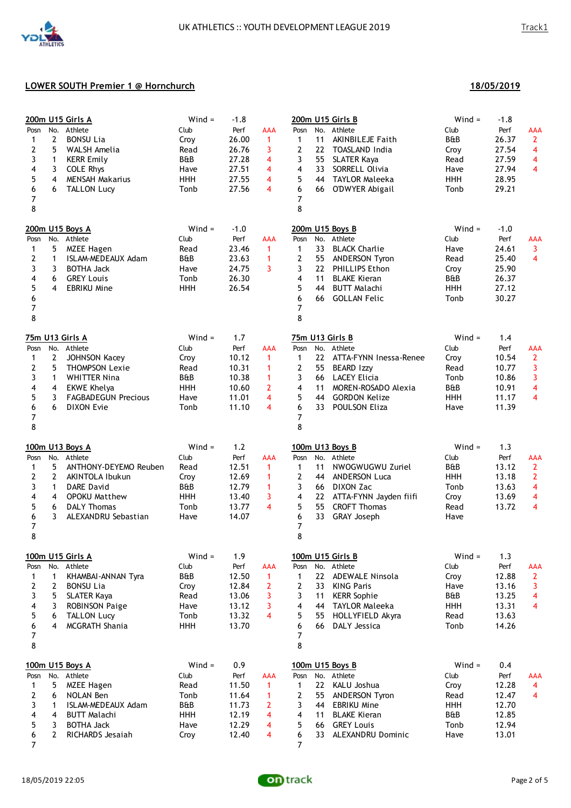| Posn<br>1<br>2<br>3<br>4<br>5<br>6<br>7<br>8              | No.<br>$\overline{2}$<br>5<br>1<br>3<br>4<br>6                                  | 200m U15 Girls A<br>Athlete<br><b>BONSU Lia</b><br>WALSH Amelia<br><b>KERR Emily</b><br><b>COLE Rhys</b><br><b>MENSAH Makarius</b><br><b>TALLON Lucy</b>                 | $Wind =$<br>Club<br>Croy<br>Read<br>B&B<br>Have<br><b>HHH</b><br>Tonb | $-1.8$<br>Perf<br>26.00<br>26.76<br>27.28<br>27.51<br>27.55<br>27.56 | <b>AAA</b><br>$\mathbf{1}$<br>3<br>4<br>4<br>4<br>4                       | $Wind =$<br>200m U15 Girls B<br>$-1.8$<br>No. Athlete<br>Club<br>Perf<br>AAA<br>Posn<br>B&B<br>26.37<br>$\overline{2}$<br>$\mathbf{1}$<br>11<br><b>AKINBILEJE Faith</b><br>$\mathbf{2}$<br>22<br>$\overline{\mathbf{4}}$<br>TOASLAND India<br>Croy<br>27.54<br>3<br>55<br><b>SLATER Kaya</b><br>27.59<br>$\overline{\mathbf{4}}$<br>Read<br>33<br>27.94<br>$\overline{4}$<br>4<br>SORRELL Olivia<br>Have<br>5<br>28.95<br>44 TAYLOR Maleeka<br><b>HHH</b><br>29.21<br>6<br>66<br>O'DWYER Abigail<br>Tonb<br>7<br>8 |
|-----------------------------------------------------------|---------------------------------------------------------------------------------|--------------------------------------------------------------------------------------------------------------------------------------------------------------------------|-----------------------------------------------------------------------|----------------------------------------------------------------------|---------------------------------------------------------------------------|--------------------------------------------------------------------------------------------------------------------------------------------------------------------------------------------------------------------------------------------------------------------------------------------------------------------------------------------------------------------------------------------------------------------------------------------------------------------------------------------------------------------|
| Posn<br>1<br>2<br>3<br>4<br>5<br>6<br>7<br>8              | 5<br>$\mathbf{1}$<br>3<br>6<br>4                                                | 200m U15 Boys A<br>No. Athlete<br><b>MZEE Hagen</b><br>ISLAM-MEDEAUX Adam<br><b>BOTHA Jack</b><br><b>GREY Louis</b><br><b>EBRIKU Mine</b>                                | $Wind =$<br>Club<br>Read<br>B&B<br>Have<br>Tonb<br><b>HHH</b>         | $-1.0$<br>Perf<br>23.46<br>23.63<br>24.75<br>26.30<br>26.54          | <b>AAA</b><br>$\mathbf{1}$<br>$\mathbf{1}$<br>3                           | 200m U15 Boys B<br>$Wind =$<br>$-1.0$<br>No. Athlete<br>Club<br>Perf<br>Posn<br>AAA<br>3<br>$\mathbf{1}$<br>33<br><b>BLACK Charlie</b><br>Have<br>24.61<br>$\mathbf{2}$<br>$\overline{4}$<br>55 ANDERSON Tyron<br>25.40<br>Read<br>25.90<br>3<br>22 PHILLIPS Ethon<br>Croy<br>4<br>11<br><b>BLAKE Kieran</b><br>B&B<br>26.37<br>5<br>27.12<br>44<br><b>BUTT Malachi</b><br><b>HHH</b><br>6<br><b>GOLLAN Felic</b><br>30.27<br>66<br>Tonb<br>$\overline{7}$<br>8                                                    |
| Posn<br>1<br>2<br>3<br>4<br>5<br>6<br>$\overline{7}$<br>8 | $\overline{2}$<br>5<br>1<br>4<br>3<br>6                                         | 75m U13 Girls A<br>No. Athlete<br>JOHNSON Kacey<br><b>THOMPSON Lexie</b><br><b>WHITTER Nina</b><br><b>EKWE Khelya</b><br><b>FAGBADEGUN Precious</b><br><b>DIXON Evie</b> | $Wind =$<br>Club<br>Croy<br>Read<br>B&B<br><b>HHH</b><br>Have<br>Tonb | 1.7<br>Perf<br>10.12<br>10.31<br>10.38<br>10.60<br>11.01<br>11.10    | <b>AAA</b><br>$\mathbf{1}$<br>$\mathbf{1}$<br>1<br>$\mathbf{2}$<br>4<br>4 | $Wind =$<br>75m U13 Girls B<br>1.4<br>No. Athlete<br>Club<br>Perf<br><b>AAA</b><br>Posn<br>1<br>22 ATTA-FYNN Inessa-Renee<br>Croy<br>10.54<br>$\overline{2}$<br>$\overline{2}$<br>55<br><b>BEARD Izzy</b><br>3<br>Read<br>10.77<br>3<br>3<br>66 LACEY Elicia<br>10.86<br>Tonb<br>$\overline{\mathbf{4}}$<br>4<br>MOREN-ROSADO Alexia<br>B&B<br>10.91<br>11<br>5<br>$\overline{\mathbf{4}}$<br>44 GORDON Kelize<br><b>HHH</b><br>11.17<br>6<br>33<br>POULSON Eliza<br>11.39<br>Have<br>7<br>8                       |
| Posn<br>1<br>2<br>3<br>4<br>5<br>6<br>$\overline{7}$<br>8 | No.<br>5<br>$\mathbf{2}$<br>1<br>4<br>6<br>3                                    | 100m U13 Boys A<br>Athlete<br>ANTHONY-DEYEMO Reuben<br>AKINTOLA Ibukun<br><b>DARE David</b><br><b>OPOKU Matthew</b><br><b>DALY Thomas</b><br>ALEXANDRU Sebastian         | $Wind =$<br>Club<br>Read<br>Croy<br>B&B<br><b>HHH</b><br>Tonb<br>Have | 1.2<br>Perf<br>12.51<br>12.69<br>12.79<br>13.40<br>13.77<br>14.07    | <b>AAA</b><br>$\mathbf{1}$<br>$\mathbf{1}$<br>$\mathbf{1}$<br>3<br>4      | $Wind =$<br>1.3<br>100m U13 Boys B<br>No. Athlete<br>Club<br>Perf<br>Posn<br>AAA<br>1<br>11<br>NWOGWUGWU Zuriel<br>B&B<br>13.12<br>$\overline{2}$<br>$\mathbf{2}$<br>$\overline{2}$<br>44 ANDERSON Luca<br><b>HHH</b><br>13.18<br>3<br>66 DIXON Zac<br>13.63<br>$\overline{\mathbf{4}}$<br>Tonb<br>4<br>22 ATTA-FYNN Jayden fiifi<br>13.69<br>4<br>Croy<br>5<br>55<br>$\overline{\mathbf{4}}$<br><b>CROFT Thomas</b><br>Read<br>13.72<br>6<br>33<br><b>GRAY Joseph</b><br>Have<br>$\overline{7}$<br>8              |
| Posn<br>1<br>2<br>3<br>4<br>5<br>6<br>7<br>8              | 1<br>2<br>5<br>3<br>6<br>4                                                      | 100m U15 Girls A<br>No. Athlete<br>KHAMBAI-ANNAN Tyra<br><b>BONSU Lia</b><br><b>SLATER Kaya</b><br><b>ROBINSON Paige</b><br><b>TALLON Lucy</b><br>MCGRATH Shania         | $Wind =$<br>Club<br>B&B<br>Croy<br>Read<br>Have<br>Tonb<br><b>HHH</b> | 1.9<br>Perf<br>12.50<br>12.84<br>13.06<br>13.12<br>13.32<br>13.70    | <b>AAA</b><br>$\mathbf{1}$<br>$\overline{2}$<br>3<br>3<br>4               | 100m U15 Girls B<br>$Wind =$<br>1.3<br>Club<br>Perf<br>No. Athlete<br>AAA<br>Posn<br>22 ADEWALE Ninsola<br>Croy<br>12.88<br>$\overline{2}$<br>1<br>3<br>$\overline{2}$<br>33<br><b>KING Paris</b><br>13.16<br>Have<br>3<br><b>KERR Sophie</b><br>B&B<br>13.25<br>$\overline{\mathbf{4}}$<br>11<br>44<br><b>TAYLOR Maleeka</b><br>13.31<br>$\overline{\mathbf{4}}$<br>4<br>HHH<br>5<br>55<br>HOLLYFIELD Akyra<br>Read<br>13.63<br>14.26<br>6<br>66<br>DALY Jessica<br>Tonb<br>$\overline{7}$<br>8                   |
| Posn<br>1<br>2<br>3<br>4<br>5<br>6<br>7                   | No.<br>5<br>6<br>$\mathbf{1}$<br>$\overline{\mathbf{4}}$<br>3<br>$\overline{2}$ | 100m U15 Boys A<br>Athlete<br><b>MZEE Hagen</b><br>NOLAN Ben<br>ISLAM-MEDEAUX Adam<br><b>BUTT Malachi</b><br><b>BOTHA Jack</b><br>RICHARDS Jesaiah                       | $Wind =$<br>Club<br>Read<br>Tonb<br>B&B<br><b>HHH</b><br>Have<br>Croy | 0.9<br>Perf<br>11.50<br>11.64<br>11.73<br>12.19<br>12.29<br>12.40    | <b>AAA</b><br>$\mathbf{1}$<br>$\mathbf{1}$<br>2<br>4<br>4<br>4            | 100m U15 Boys B<br>$Wind =$<br>0.4<br>Club<br>No. Athlete<br>Perf<br>Posn<br><b>AAA</b><br>$\mathbf{1}$<br>22<br>KALU Joshua<br>12.28<br>Croy<br>4<br>$\mathbf{2}$<br>55<br><b>ANDERSON Tyron</b><br>Read<br>12.47<br>$\overline{4}$<br>3<br><b>EBRIKU Mine</b><br><b>HHH</b><br>12.70<br>44<br>4<br><b>BLAKE Kieran</b><br>B&B<br>12.85<br>11<br>5<br>66 GREY Louis<br>Tonb<br>12.94<br>6<br>33<br>ALEXANDRU Dominic<br>13.01<br>Have<br>7                                                                        |

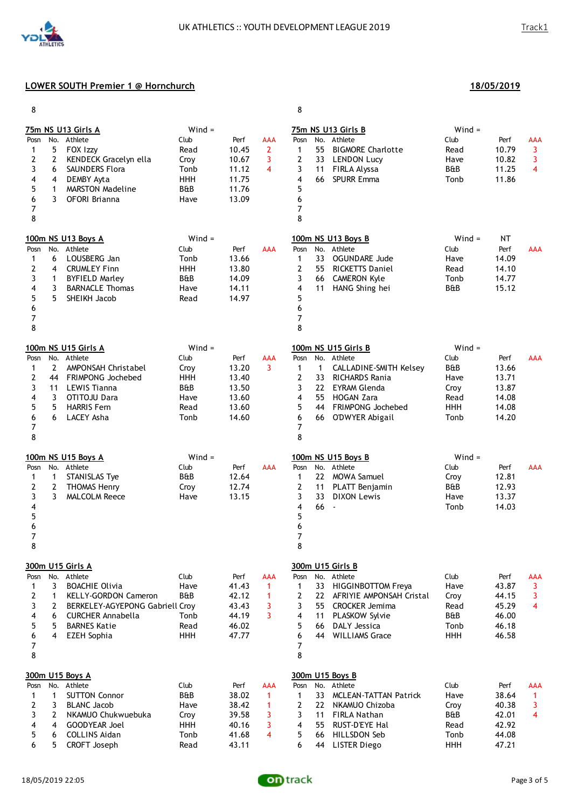

| 8                                            |                                                  |                                                                                                                                                                                                     |                                                                       |                                                            |                                                              | 8                                                                                                                                                                                                                                                                                                                                                                                                            |                                            |
|----------------------------------------------|--------------------------------------------------|-----------------------------------------------------------------------------------------------------------------------------------------------------------------------------------------------------|-----------------------------------------------------------------------|------------------------------------------------------------|--------------------------------------------------------------|--------------------------------------------------------------------------------------------------------------------------------------------------------------------------------------------------------------------------------------------------------------------------------------------------------------------------------------------------------------------------------------------------------------|--------------------------------------------|
| Posn<br>1<br>2<br>3<br>4<br>5<br>6<br>7<br>8 | 5<br>2<br>6<br>4<br>1<br>3                       | 75m NS U13 Girls A<br>No. Athlete<br>FOX Izzy<br>KENDECK Gracelyn ella<br><b>SAUNDERS Flora</b><br>DEMBY Ayta<br><b>MARSTON Madeline</b><br><b>OFORI Brianna</b>                                    | $Wind =$<br>Club<br>Read<br>Croy<br>Tonb<br><b>HHH</b><br>B&B<br>Have | Perf<br>10.45<br>10.67<br>11.12<br>11.75<br>11.76<br>13.09 | <b>AAA</b><br>$\overline{2}$<br>3<br>$\overline{\mathbf{4}}$ | $Wind =$<br>75m NS U13 Girls B<br>Club<br>No. Athlete<br>Perf<br>Posn<br>55<br>$\mathbf{1}$<br><b>BIGMORE Charlotte</b><br>10.79<br>Read<br>2<br>33 LENDON Lucy<br>10.82<br>Have<br>3<br>FIRLA Alyssa<br>11.25<br>11<br>B&B<br><b>SPURR Emma</b><br>4<br>66<br>11.86<br>Tonb<br>5<br>6<br>7<br>8                                                                                                             | AAA<br>3<br>3<br>$\overline{4}$            |
| Posn<br>1<br>2<br>3<br>4<br>5<br>6<br>7<br>8 | 6<br>4<br>$\mathbf{1}$<br>3<br>5                 | 100m NS U13 Boys A<br>No. Athlete<br>LOUSBERG Jan<br><b>CRUMLEY Finn</b><br><b>BYFIELD Marley</b><br><b>BARNACLE Thomas</b><br>SHEIKH Jacob                                                         | $Wind =$<br>Club<br>Tonb<br><b>HHH</b><br>B&B<br>Have<br>Read         | Perf<br>13.66<br>13.80<br>14.09<br>14.11<br>14.97          | <b>AAA</b>                                                   | $Wind =$<br><b>NT</b><br>100m NS U13 Boys B<br>Club<br>No.<br>Athlete<br>Perf<br>Posn<br>33<br><b>OGUNDARE Jude</b><br>14.09<br>$\mathbf{1}$<br>Have<br>2<br>55<br><b>RICKETTS Daniel</b><br>14.10<br>Read<br>3<br>66 CAMERON Kyle<br>14.77<br>Tonb<br>4<br>HANG Shing hei<br>B&B<br>15.12<br>11<br>5<br>6<br>7<br>8                                                                                         | AAA                                        |
| Posn<br>1<br>2<br>3<br>4<br>5<br>6<br>7<br>8 | $\mathbf{2}$<br>44<br>11<br>3<br>5<br>6          | 100m NS U15 Girls A<br>No. Athlete<br>AMPONSAH Christabel<br><b>FRIMPONG Jochebed</b><br><b>LEWIS Tianna</b><br>OTITOJU Dara<br><b>HARRIS Fem</b><br>LACEY Asha                                     | $Wind =$<br>Club<br>Croy<br>HHH<br>B&B<br>Have<br>Read<br>Tonb        | Perf<br>13.20<br>13.40<br>13.50<br>13.60<br>13.60<br>14.60 | <b>AAA</b><br>3                                              | $Wind =$<br>100m NS U15 Girls B<br>Club<br>Athlete<br>Perf<br>No.<br>Posn<br>B&B<br>$\mathbf{1}$<br><b>CALLADINE-SMITH Kelsey</b><br>13.66<br>$\mathbf{1}$<br>2<br>33<br><b>RICHARDS Rania</b><br>13.71<br>Have<br>3<br>22 EYRAM Glenda<br>Croy<br>13.87<br>4<br>14.08<br>55 HOGAN Zara<br>Read<br>5<br>44 FRIMPONG Jochebed<br><b>HHH</b><br>14.08<br>6<br>66<br>O'DWYER Abigail<br>14.20<br>Tonb<br>7<br>8 | <b>AAA</b>                                 |
| Posn<br>1<br>2<br>3<br>4<br>5<br>6<br>7<br>8 | $\mathbf{1}$<br>$\overline{2}$<br>3              | 100m NS U15 Boys A<br>No. Athlete<br><b>STANISLAS Tye</b><br><b>THOMAS Henry</b><br><b>MALCOLM Reece</b>                                                                                            | $Wind =$<br>Club<br>B&B<br>Croy<br>Have                               | Perf<br>12.64<br>12.74<br>13.15                            | <b>AAA</b>                                                   | 100m NS U15 Boys B<br>$Wind =$<br>No.<br>Athlete<br>Club<br>Perf<br>Posn<br>22 MOWA Samuel<br>12.81<br>1<br>Croy<br>2<br>11<br>PLATT Benjamin<br>B&B<br>12.93<br>3<br>33<br><b>DIXON Lewis</b><br>13.37<br>Have<br>4<br>66<br>Tonb<br>14.03<br>$\overline{\phantom{a}}$<br>5<br>$\boldsymbol{6}$<br>7<br>8                                                                                                   | <b>AAA</b>                                 |
| Posn<br>1<br>2<br>3<br>4<br>5<br>6<br>7<br>8 | 3<br>1<br>$\overline{2}$<br>6<br>5<br>4          | 300m U15 Girls A<br>No. Athlete<br><b>BOACHIE Olivia</b><br><b>KELLY-GORDON Cameron</b><br>BERKELEY-AGYEPONG Gabriell Croy<br><b>CURCHER Annabella</b><br><b>BARNES Katie</b><br><b>EZEH Sophia</b> | Club<br>Have<br><b>B&amp;B</b><br>Tonb<br>Read<br>HHH                 | Perf<br>41.43<br>42.12<br>43.43<br>44.19<br>46.02<br>47.77 | <b>AAA</b><br>1<br>$\mathbf{1}$<br>3<br>3                    | 300m U15 Girls B<br>Club<br>No.<br>Athlete<br>Posn<br>Perf<br>33<br>Have<br>43.87<br>$\mathbf{1}$<br><b>HIGGINBOTTOM Freya</b><br>2<br>22<br>AFRIYIE AMPONSAH Cristal<br>Croy<br>44.15<br>3<br>55 CROCKER Jemima<br>Read<br>45.29<br>B&B<br>46.00<br>4<br>PLASKOW Sylvie<br>11<br>5<br>66<br>DALY Jessica<br>46.18<br>Tonb<br>46.58<br>6<br>44 WILLIAMS Grace<br><b>HHH</b><br>7<br>8                        | AAA<br>3<br>3<br>$\overline{4}$            |
| Posn<br>1<br>2<br>3<br>4<br>5<br>6           | $\mathbf{1}$<br>3<br>$\mathbf{2}$<br>4<br>6<br>5 | 300m U15 Boys A<br>No. Athlete<br><b>SUTTON Connor</b><br><b>BLANC Jacob</b><br>NKAMUO Chukwuebuka<br><b>GOODYEAR Joel</b><br><b>COLLINS Aidan</b><br>CROFT Joseph                                  | Club<br><b>B&amp;B</b><br>Have<br>Croy<br><b>HHH</b><br>Tonb<br>Read  | Perf<br>38.02<br>38.42<br>39.58<br>40.16<br>41.68<br>43.11 | <b>AAA</b><br>$\mathbf{1}$<br>$\mathbf{1}$<br>3<br>3<br>4    | 300m U15 Boys B<br>Club<br>No. Athlete<br>Perf<br>Posn<br>33<br>MCLEAN-TATTAN Patrick<br>Have<br>38.64<br>$\mathbf{1}$<br>2<br>22 NKAMUO Chizoba<br>40.38<br>Croy<br>B&B<br>42.01<br>3<br>11 FIRLA Nathan<br>42.92<br>4<br>55 RUST-D'EYE Hal<br>Read<br>5<br>HILLSDON Seb<br>44.08<br>66<br>Tonb<br>HHH<br>6<br>44 LISTER Diego<br>47.21                                                                     | AAA<br>$\mathbf{1}$<br>3<br>$\overline{4}$ |

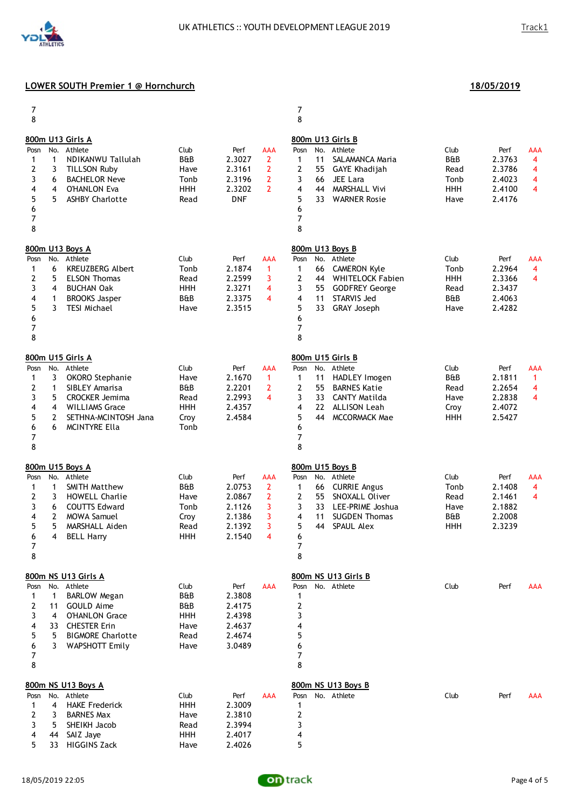| 7<br>8                                                                                                               |                                                                                                                                                                   |                                                                                |                                                                                                                                                  | 7<br>8                                                                                                                                                                                                                                 |                                                              |                                                                                                |
|----------------------------------------------------------------------------------------------------------------------|-------------------------------------------------------------------------------------------------------------------------------------------------------------------|--------------------------------------------------------------------------------|--------------------------------------------------------------------------------------------------------------------------------------------------|----------------------------------------------------------------------------------------------------------------------------------------------------------------------------------------------------------------------------------------|--------------------------------------------------------------|------------------------------------------------------------------------------------------------|
| No.<br>Posn<br>$\mathbf{1}$<br>1<br>$\overline{2}$<br>3<br>3<br>6<br>4<br>4<br>5<br>5<br>6<br>7<br>8                 | 800m U13 Girls A<br>Athlete<br>NDIKANWU Tallulah<br><b>TILLSON Ruby</b><br><b>BACHELOR Neve</b><br><b>O'HANLON Eva</b><br><b>ASHBY Charlotte</b>                  | Club<br><b>B&amp;B</b><br>Have<br>Tonb<br><b>HHH</b><br>Read                   | Perf<br><b>AAA</b><br>2.3027<br>$\overline{2}$<br>$\overline{2}$<br>2.3161<br>$\overline{2}$<br>2.3196<br>$\overline{2}$<br>2.3202<br><b>DNF</b> | 800m U13 Girls B<br>No.<br>Athlete<br>Posn<br>11<br>1<br>SALAMANCA Maria<br>2<br>GAYE Khadijah<br>55<br>3<br>JEE Lara<br>66<br>4<br><b>MARSHALL Vivi</b><br>44<br>5<br>33<br><b>WARNER Rosie</b><br>6<br>7<br>8                        | Club<br>B&B<br>Read<br>Tonb<br><b>HHH</b><br>Have            | Perf<br>AAA<br>2.3763<br>$\overline{4}$<br>2.3786<br>4<br>2.4023<br>4<br>4<br>2.4100<br>2.4176 |
| No.<br>Posn<br>6<br>1<br>$\overline{2}$<br>5<br>3<br>4<br>4<br>1<br>5<br>3<br>6<br>7<br>8                            | 800m U13 Boys A<br>Athlete<br><b>KREUZBERG Albert</b><br><b>ELSON Thomas</b><br><b>BUCHAN Oak</b><br><b>BROOKS Jasper</b><br><b>TESI Michael</b>                  | Club<br>Tonb<br>Read<br><b>HHH</b><br><b>B&amp;B</b><br>Have                   | Perf<br><b>AAA</b><br>2.1874<br>$\mathbf{1}$<br>2.2599<br>3<br>2.3271<br>4<br>2.3375<br>$\overline{\mathbf{4}}$<br>2.3515                        | 800m U13 Boys B<br>No.<br>Athlete<br>Posn<br>1<br>66<br><b>CAMERON Kyle</b><br>2<br><b>WHITELOCK Fabien</b><br>44<br>3<br><b>GODFREY George</b><br>55<br>4<br>11<br>STARVIS Jed<br>5<br>33<br>GRAY Joseph<br>6<br>7<br>8               | Club<br>Tonb<br><b>HHH</b><br>Read<br><b>B&amp;B</b><br>Have | Perf<br>AAA<br>2.2964<br>$\overline{\mathbf{4}}$<br>2.3366<br>4<br>2.3437<br>2.4063<br>2.4282  |
| No.<br>Posn<br>3<br>1<br>$\overline{2}$<br>$\mathbf{1}$<br>3<br>5<br>4<br>4<br>5<br>$\mathbf{2}$<br>6<br>6<br>7<br>8 | 800m U15 Girls A<br>Athlete<br>OKORO Stephanie<br>SIBLEY Amarisa<br><b>CROCKER Jemima</b><br><b>WILLIAMS Grace</b><br>SETHNA-MCINTOSH Jana<br>MCINTYRE Ella       | Club<br>Have<br><b>B&amp;B</b><br>Read<br>HHH<br>Croy<br>Tonb                  | Perf<br><b>AAA</b><br>2.1670<br>$\mathbf{1}$<br>2.2201<br>2<br>2.2993<br>4<br>2.4357<br>2.4584                                                   | 800m U15 Girls B<br>No. Athlete<br>Posn<br>1<br>11<br>HADLEY Imogen<br>2<br>55<br><b>BARNES Katie</b><br>3<br>33<br><b>CANTY Matilda</b><br>4<br><b>ALLISON Leah</b><br>22<br>5<br><b>MCCORMACK Mae</b><br>44<br>6<br>7<br>8           | Club<br><b>B&amp;B</b><br>Read<br>Have<br>Croy<br>HHH        | Perf<br>AAA<br>2.1811<br>$\mathbf{1}$<br>2.2654<br>4<br>4<br>2.2838<br>2.4072<br>2.5427        |
| No.<br>Posn<br>$\mathbf{1}$<br>1<br>2<br>3<br>3<br>6<br>4<br>$\mathbf{2}$<br>5<br>5<br>6<br>4<br>7<br>8              | 800m U15 Boys A<br>Athlete<br>SMITH Matthew<br><b>HOWELL Charlie</b><br><b>COUTTS Edward</b><br><b>MOWA Samuel</b><br>MARSHALL Aiden<br><b>BELL Harry</b>         | Club<br><b>B&amp;B</b><br>Have<br>Tonb<br>Croy<br>Read<br>HHH                  | Perf<br><b>AAA</b><br>2.0753<br>$\mathbf{2}$<br>$\overline{2}$<br>2.0867<br>3<br>2.1126<br>3<br>2.1386<br>3<br>2.1392<br>2.1540<br>4             | 800m U15 Boys B<br>No.<br>Athlete<br>Posn<br>1<br><b>CURRIE Angus</b><br>66<br>2<br>55<br>SNOXALL Oliver<br>3<br>LEE-PRIME Joshua<br>33<br>4<br>11<br><b>SUGDEN Thomas</b><br>5<br><b>SPAUL Alex</b><br>44<br>6<br>$\overline{7}$<br>8 | Club<br>Tonb<br>Read<br>Have<br><b>B&amp;B</b><br><b>HHH</b> | Perf<br>AAA<br>2.1408<br>4<br>4<br>2.1461<br>2.1882<br>2.2008<br>2.3239                        |
| Posn<br>1<br>$\mathbf{1}$<br>2<br>11<br>3<br>4<br>4<br>5<br>5<br>3<br>6<br>$\overline{7}$<br>8                       | 800m NS U13 Girls A<br>No. Athlete<br><b>BARLOW Megan</b><br>GOULD Aime<br><b>O'HANLON Grace</b><br>33 CHESTER Erin<br><b>BIGMORE Charlotte</b><br>WAPSHOTT Emily | Club<br><b>B&amp;B</b><br><b>B&amp;B</b><br><b>HHH</b><br>Have<br>Read<br>Have | Perf<br><b>AAA</b><br>2.3808<br>2.4175<br>2.4398<br>2.4637<br>2.4674<br>3.0489                                                                   | 800m NS U13 Girls B<br>Posn<br>No. Athlete<br>1<br>$\overline{\mathbf{c}}$<br>3<br>4<br>5<br>6<br>$\overline{7}$<br>8                                                                                                                  | Club                                                         | Perf<br>AAA                                                                                    |
| Posn<br>4<br>1<br>2<br>3<br>3<br>5<br>4<br>44<br>5<br>33                                                             | 800m NS U13 Boys A<br>No. Athlete<br><b>HAKE Frederick</b><br><b>BARNES Max</b><br>SHEIKH Jacob<br>SAIZ Jaye<br><b>HIGGINS Zack</b>                               | Club<br><b>HHH</b><br>Have<br>Read<br><b>HHH</b><br>Have                       | Perf<br><b>AAA</b><br>2.3009<br>2.3810<br>2.3994<br>2.4017<br>2.4026                                                                             | 800m NS U13 Boys B<br>No. Athlete<br>Posn<br>1<br>$\overline{\mathbf{c}}$<br>3<br>4<br>5                                                                                                                                               | Club                                                         | Perf<br>AAA                                                                                    |

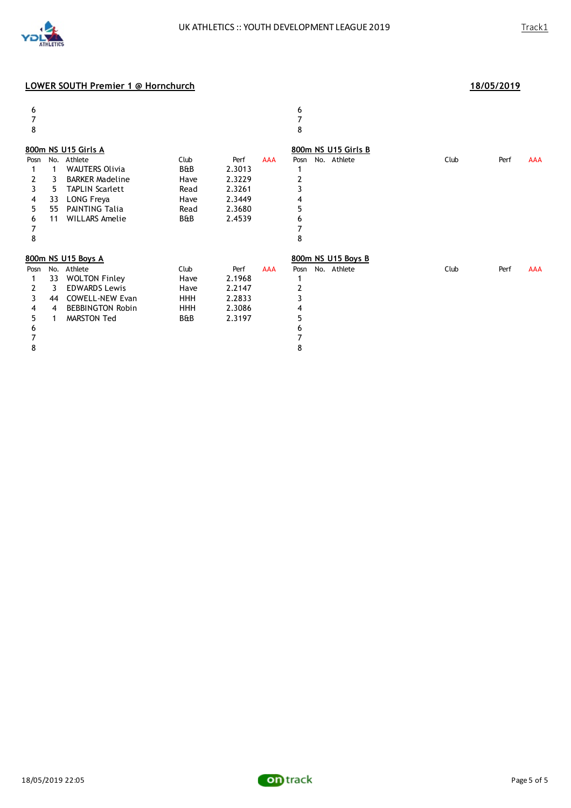

#### $6$ 7 7 8 8 **800m NS U15 Girls A 800m NS U15 Girls B** Posn No. Athlete **Posn Club** Perf AAA Posn No. Athlete **Club** Perf AAA 1 1 WAUTERS Olivia B&B 2.3013 1 2 3 BARKER Madeline Have 2.3229 2 TAPLIN Scarlett 4 33 LONG Freya Have 2.3449 4 5 55 PAINTING Talia Read 2.3680 5 11 WILLARS Amelie 7 7 8 8 **800m NS U15 Boys A 800m NS U15 Boys B** Posn No. Athlete Club Club Perf AAA Posn No. Athlete Club Perf AAA Club Perf AAA Posn No. Athlete Club Perf AAA 1 33 WOLTON Finley<br>
2 3 EDWARDS Lewis Have 2.2147 2 **EDWARDS Lewis** 3 44 COWELL-NEW Evan HHH 2.2833 3 4 4 BEBBINGTON Robin HHH 2.3086 4 5 1 MARSTON Ted B&B 2.3197 5  $6$ 7 7 8 8



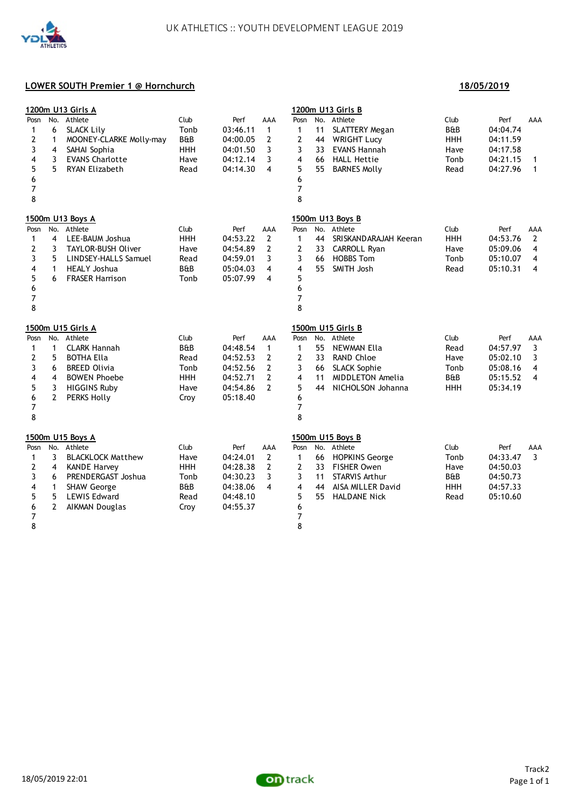

#### **18/05/2019**

|                     |                       | <u>1200m U13 Girls A</u>        |                    |          |                |                |     | 1200m U13 Girls B                           |                |                      |                |
|---------------------|-----------------------|---------------------------------|--------------------|----------|----------------|----------------|-----|---------------------------------------------|----------------|----------------------|----------------|
| Posn                | No.                   | Athlete                         | Club               | Perf     | AAA            | Posn           |     | No. Athlete                                 | Club           | Perf                 | AAA            |
| 1                   | 6                     | <b>SLACK Lily</b>               | Tonb               | 03:46.11 | $\mathbf{1}$   | $\mathbf{1}$   | 11  | <b>SLATTERY Megan</b>                       | <b>B&amp;B</b> | 04:04.74             |                |
| $\mathbf{2}$        | $\mathbf{1}$          | MOONEY-CLARKE Molly-may         | B&B                | 04:00.05 | 2              | $\mathbf{2}$   | 44  | <b>WRIGHT Lucy</b>                          | <b>HHH</b>     | 04:11.59             |                |
| 3                   | 4                     | SAHAI Sophia                    | <b>HHH</b>         | 04:01.50 | 3              | 3              | 33  | <b>EVANS Hannah</b>                         | Have           | 04:17.58             |                |
| 4                   | 3                     | <b>EVANS Charlotte</b>          | Have               | 04:12.14 | 3              | 4              | 66  | <b>HALL Hettie</b>                          | Tonb           | 04:21.15             | 1              |
| 5                   | 5                     | RYAN Elizabeth                  | Read               | 04:14.30 | 4              | 5              | 55  | <b>BARNES Molly</b>                         | Read           | 04:27.96             | 1              |
| 6                   |                       |                                 |                    |          |                | 6              |     |                                             |                |                      |                |
| 7                   |                       |                                 |                    |          |                | $\overline{7}$ |     |                                             |                |                      |                |
| 8                   |                       |                                 |                    |          |                | 8              |     |                                             |                |                      |                |
|                     |                       | 1500m U13 Boys A                |                    |          |                |                |     | 1500m U13 Boys B                            |                |                      |                |
| Posn                |                       | No. Athlete                     | Club               | Perf     | AAA            | Posn           |     | No. Athlete                                 | Club           | Perf                 | AAA            |
| 1                   | 4                     | LEE-BAUM Joshua                 | <b>HHH</b>         | 04:53.22 | 2              | 1              | 44  | SRISKANDARAJAH Keeran                       | HHH            | 04:53.76             | 2              |
| $\overline{2}$      | 3                     | TAYLOR-BUSH Oliver              | Have               | 04:54.89 | 2              | 2              | 33  | CARROLL Ryan                                | Have           | 05:09.06             | 4              |
| 3                   | 5                     | LINDSEY-HALLS Samuel            | Read               | 04:59.01 | 3              | 3              | 66  | <b>HOBBS Tom</b>                            | Tonb           | 05:10.07             | 4              |
| 4                   | 1                     | <b>HEALY Joshua</b>             | <b>B&amp;B</b>     | 05:04.03 | 4              | 4              | 55  | SMITH Josh                                  | Read           | 05:10.31             | $\overline{4}$ |
| 5                   | 6                     | <b>FRASER Harrison</b>          | Tonb               | 05:07.99 | 4              | 5              |     |                                             |                |                      |                |
| 6                   |                       |                                 |                    |          |                | 6              |     |                                             |                |                      |                |
| $\boldsymbol{7}$    |                       |                                 |                    |          |                | 7              |     |                                             |                |                      |                |
| 8                   |                       |                                 |                    |          |                | 8              |     |                                             |                |                      |                |
|                     |                       | 1500m U15 Girls A               |                    |          |                |                |     | 1500m U15 Girls B                           |                |                      |                |
| Posn                |                       | No. Athlete                     | Club               | Perf     | AAA            | Posn           |     | No. Athlete                                 | Club           | Perf                 | AAA            |
| 1                   | $\mathbf{1}$          | <b>CLARK Hannah</b>             | <b>B&amp;B</b>     | 04:48.54 | $\mathbf{1}$   | $\mathbf{1}$   | 55  | NEWMAN Ella                                 | Read           | 04:57.97             | 3              |
| $\mathbf{2}$        | 5                     | <b>BOTHA Ella</b>               | Read               | 04:52.53 | 2              | $\overline{2}$ | 33  | <b>RAND Chloe</b>                           | Have           | 05:02.10             | 3              |
| 3                   | 6                     | <b>BREED Olivia</b>             | Tonb               | 04:52.56 | 2              | 3              | 66  | <b>SLACK Sophie</b>                         | Tonb           | 05:08.16             | 4              |
| 4                   | 4                     | <b>BOWEN Phoebe</b>             | <b>HHH</b>         | 04:52.71 | $\overline{2}$ | 4              | 11  | <b>MIDDLETON Amelia</b>                     | <b>B&amp;B</b> | 05:15.52             | $\overline{4}$ |
| 5                   | 3                     | <b>HIGGINS Ruby</b>             | Have               | 04:54.86 | $\overline{2}$ | 5              | 44  | NICHOLSON Johanna                           | <b>HHH</b>     | 05:34.19             |                |
| 6                   | $\overline{2}$        | <b>PERKS Holly</b>              | Croy               | 05:18.40 |                | 6              |     |                                             |                |                      |                |
| $\overline{7}$      |                       |                                 |                    |          |                | $\overline{7}$ |     |                                             |                |                      |                |
| 8                   |                       |                                 |                    |          |                | 8              |     |                                             |                |                      |                |
|                     |                       |                                 |                    |          |                |                |     |                                             |                |                      |                |
|                     |                       |                                 |                    |          |                |                |     |                                             |                |                      |                |
| Posn                |                       | 1500m U15 Boys A<br>No. Athlete | Club               | Perf     | AAA            | Posn           | No. | 1500m U15 Boys B<br>Athlete                 | Club           | Perf                 | AAA            |
| 1                   | 3                     | <b>BLACKLOCK Matthew</b>        | Have               | 04:24.01 | 2              | 1              | 66  |                                             | Tonb           |                      | 3              |
| 2                   | 4                     | <b>KANDE Harvey</b>             |                    | 04:28.38 | $\overline{2}$ | $\overline{2}$ | 33  | <b>HOPKINS George</b><br><b>FISHER Owen</b> | Have           | 04:33.47<br>04:50.03 |                |
| 3                   | 6                     | PRENDERGAST Joshua              | <b>HHH</b><br>Tonb | 04:30.23 | 3              | 3              | 11  | <b>STARVIS Arthur</b>                       | B&B            | 04:50.73             |                |
| 4                   | $\mathbf{1}$          | <b>SHAW George</b>              | <b>B&amp;B</b>     | 04:38.06 | 4              | 4              | 44  | AISA MILLER David                           | <b>HHH</b>     | 04:57.33             |                |
|                     | 5                     | <b>LEWIS Edward</b>             | Read               | 04:48.10 |                | 5              | 55  | <b>HALDANE Nick</b>                         | Read           |                      |                |
| 5                   | $\mathbf{2}^{\prime}$ | AIKMAN Douglas                  | Croy               | 04:55.37 |                | 6              |     |                                             |                | 05:10.60             |                |
| 6<br>$\overline{7}$ |                       |                                 |                    |          |                | 7              |     |                                             |                |                      |                |

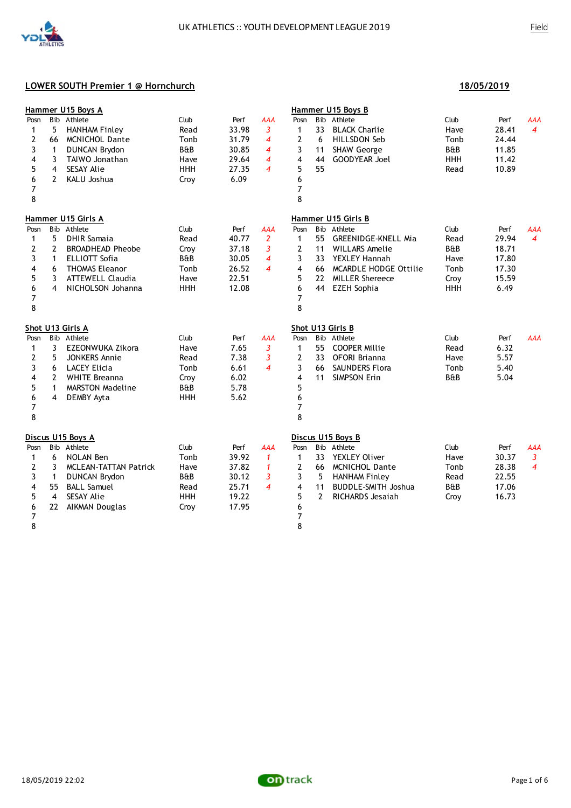

|                |                         | Hammer U15 Boys A            |                |       |                          |                |                | Hammer U15 Boys B          |                |       |                |
|----------------|-------------------------|------------------------------|----------------|-------|--------------------------|----------------|----------------|----------------------------|----------------|-------|----------------|
| Posn           | <b>B</b> ib             | Athlete                      | Club           | Perf  | <b>AAA</b>               | Posn           |                | Bib Athlete                | Club           | Perf  | AAA            |
| 1              | 5                       | <b>HANHAM Finley</b>         | Read           | 33.98 | 3                        | 1              | 33             | <b>BLACK Charlie</b>       | Have           | 28.41 | $\overline{4}$ |
| 2              | 66                      | <b>MCNICHOL Dante</b>        | Tonb           | 31.79 | $\overline{4}$           | 2              | 6              | HILLSDON Seb               | Tonb           | 24.44 |                |
| 3              | 1                       | <b>DUNCAN Brydon</b>         | B&B            | 30.85 | 4                        | 3              | 11             | <b>SHAW George</b>         | B&B            | 11.85 |                |
| 4              | 3                       | TAIWO Jonathan               | Have           | 29.64 | $\overline{\bf 4}$       | 4              | 44             | <b>GOODYEAR Joel</b>       | <b>HHH</b>     | 11.42 |                |
| 5              | 4                       | SESAY Alie                   | HHH            | 27.35 | $\overline{\mathcal{A}}$ | 5              | 55             |                            | Read           | 10.89 |                |
| 6              | $\overline{2}$          | KALU Joshua                  | Croy           | 6.09  |                          | 6              |                |                            |                |       |                |
| $\overline{7}$ |                         |                              |                |       |                          | 7              |                |                            |                |       |                |
| 8              |                         |                              |                |       |                          | 8              |                |                            |                |       |                |
|                |                         | Hammer U15 Girls A           |                |       |                          |                |                | Hammer U15 Girls B         |                |       |                |
| Posn           |                         | Bib Athlete                  | Club           | Perf  | <b>AAA</b>               | Posn           |                | Bib Athlete                | Club           | Perf  | AAA            |
| 1              | 5                       | <b>DHIR Samaia</b>           | Read           | 40.77 | 2                        | 1              | 55             | <b>GREENIDGE-KNELL Mia</b> | Read           | 29.94 | $\overline{4}$ |
| 2              | 2                       | <b>BROADHEAD Pheobe</b>      | Croy           | 37.18 | 3                        | 2              | 11             | <b>WILLARS Amelie</b>      | <b>B&amp;B</b> | 18.71 |                |
| 3              | $\mathbf{1}$            | <b>ELLIOTT Sofia</b>         | B&B            | 30.05 | $\overline{4}$           | 3              | 33             | <b>YEXLEY Hannah</b>       | Have           | 17.80 |                |
| 4              | 6                       | <b>THOMAS Eleanor</b>        | Tonb           | 26.52 | $\overline{\mathcal{A}}$ | 4              |                | 66 MCARDLE HODGE Ottilie   | Tonb           | 17.30 |                |
| 5              | 3                       | <b>ATTEWELL Claudia</b>      | Have           | 22.51 |                          | 5              | 22             | <b>MILLER Shereece</b>     | Croy           | 15.59 |                |
| 6              | 4                       | NICHOLSON Johanna            | <b>HHH</b>     | 12.08 |                          | 6              | 44             | <b>EZEH Sophia</b>         | <b>HHH</b>     | 6.49  |                |
| 7              |                         |                              |                |       |                          | 7              |                |                            |                |       |                |
| 8              |                         |                              |                |       |                          | 8              |                |                            |                |       |                |
|                |                         | Shot U13 Girls A             |                |       |                          |                |                | Shot U13 Girls B           |                |       |                |
| Posn           |                         | Bib Athlete                  | Club           | Perf  | <b>AAA</b>               | Posn           |                | Bib Athlete                | Club           | Perf  | <b>AAA</b>     |
| $\mathbf{1}$   | 3                       | EZEONWUKA Zikora             | Have           | 7.65  | 3                        | $\mathbf{1}$   | 55             | <b>COOPER Millie</b>       | Read           | 6.32  |                |
| 2              | 5                       | <b>JONKERS Annie</b>         | Read           | 7.38  | 3                        | 2              | 33             | OFORI Brianna              | Have           | 5.57  |                |
| 3              | 6                       | <b>LACEY Elicia</b>          | Tonb           | 6.61  | $\boldsymbol{4}$         | 3              | 66             | SAUNDERS Flora             | Tonb           | 5.40  |                |
| 4              | $\overline{2}$          | <b>WHITE Breanna</b>         | Croy           | 6.02  |                          | 4              | 11             | SIMPSON Erin               | <b>B&amp;B</b> | 5.04  |                |
| 5              | 1                       | <b>MARSTON Madeline</b>      | <b>B&amp;B</b> | 5.78  |                          | 5              |                |                            |                |       |                |
| 6              | $\overline{\mathbf{4}}$ | DEMBY Ayta                   | <b>HHH</b>     | 5.62  |                          | 6              |                |                            |                |       |                |
| 7              |                         |                              |                |       |                          | 7              |                |                            |                |       |                |
| 8              |                         |                              |                |       |                          | 8              |                |                            |                |       |                |
|                |                         | Discus U15 Boys A            |                |       |                          |                |                | Discus U15 Boys B          |                |       |                |
| Posn           | <b>B</b> ib             | Athlete                      | Club           | Perf  | <b>AAA</b>               | Posn           |                | Bib Athlete                | Club           | Perf  | AAA            |
| 1              | 6                       | <b>NOLAN Ben</b>             | Tonb           | 39.92 | $\mathbf{1}$             | 1              | 33             | YEXLEY Oliver              | Have           | 30.37 | $\overline{3}$ |
| 2              | 3                       | <b>MCLEAN-TATTAN Patrick</b> | Have           | 37.82 | $\mathbf{1}$             | $\overline{2}$ | 66             | <b>MCNICHOL Dante</b>      | Tonb           | 28.38 | $\overline{4}$ |
| 3              | 1                       | <b>DUNCAN Brydon</b>         | B&B            | 30.12 | 3                        | 3              | 5              | <b>HANHAM Finley</b>       | Read           | 22.55 |                |
| 4              | 55                      | <b>BALL Samuel</b>           | Read           | 25.71 | $\overline{\mathcal{A}}$ | 4              | 11             | <b>BUDDLE-SMITH Joshua</b> | <b>B&amp;B</b> | 17.06 |                |
| 5              | 4                       | <b>SESAY Alie</b>            | <b>HHH</b>     | 19.22 |                          | 5              | $\overline{2}$ | RICHARDS Jesaiah           | Croy           | 16.73 |                |
| 6              | 22                      | AIKMAN Douglas               | Croy           | 17.95 |                          | 6              |                |                            |                |       |                |
| $\overline{7}$ |                         |                              |                |       |                          | 7              |                |                            |                |       |                |
| 8              |                         |                              |                |       |                          | 8              |                |                            |                |       |                |

**18/05/2019**

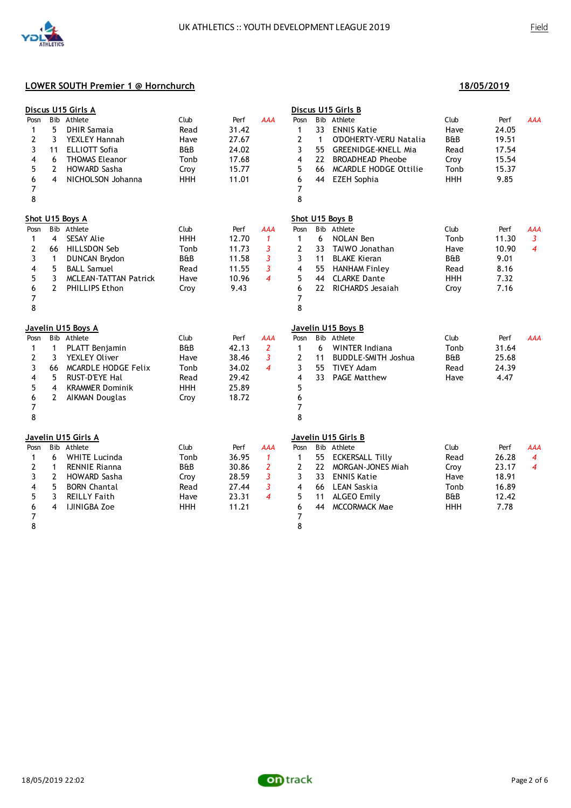|                                                                      |                                                     | Discus U15 Girls A                                                                                                                                      |                                                                      |                                                            |                                                                                    |                                                                        |                                            | Discus U15 Girls B                                                                                                                                                  |                                                                      |                                                           |                                         |
|----------------------------------------------------------------------|-----------------------------------------------------|---------------------------------------------------------------------------------------------------------------------------------------------------------|----------------------------------------------------------------------|------------------------------------------------------------|------------------------------------------------------------------------------------|------------------------------------------------------------------------|--------------------------------------------|---------------------------------------------------------------------------------------------------------------------------------------------------------------------|----------------------------------------------------------------------|-----------------------------------------------------------|-----------------------------------------|
| Posn<br>$\mathbf{1}$<br>2<br>3<br>4<br>5<br>6<br>$\overline{7}$<br>8 | 5<br>3<br>11<br>6<br>$\overline{2}$<br>4            | Bib Athlete<br><b>DHIR Samaja</b><br>YEXLEY Hannah<br><b>ELLIOTT Sofia</b><br><b>THOMAS Eleanor</b><br><b>HOWARD Sasha</b><br>NICHOLSON Johanna         | Club<br>Read<br>Have<br>B&B<br>Tonb<br>Croy<br><b>HHH</b>            | Perf<br>31.42<br>27.67<br>24.02<br>17.68<br>15.77<br>11.01 | <b>AAA</b>                                                                         | Posn<br>1<br>$\overline{2}$<br>3<br>4<br>5<br>6<br>$\overline{7}$<br>8 | 33<br>$\mathbf{1}$<br>55<br>22<br>66<br>44 | Bib Athlete<br><b>ENNIS Katie</b><br>O'DOHERTY-VERU Natalia<br><b>GREENIDGE-KNELL Mia</b><br><b>BROADHEAD Pheobe</b><br>MCARDLE HODGE Ottilie<br><b>EZEH Sophia</b> | Club<br>Have<br><b>B&amp;B</b><br>Read<br>Croy<br>Tonb<br><b>HHH</b> | Perf<br>24.05<br>19.51<br>17.54<br>15.54<br>15.37<br>9.85 | AAA                                     |
|                                                                      |                                                     | Shot U15 Boys A                                                                                                                                         |                                                                      |                                                            |                                                                                    |                                                                        |                                            | Shot U15 Boys B                                                                                                                                                     |                                                                      |                                                           |                                         |
| Posn<br>1<br>2<br>3<br>4<br>5<br>6<br>7<br>8                         | 4<br>66<br>$\mathbf{1}$<br>5<br>3<br>$\overline{2}$ | Bib Athlete<br>SESAY Alie<br>HILLSDON Seb<br><b>DUNCAN Brydon</b><br><b>BALL Samuel</b><br><b>MCLEAN-TATTAN Patrick</b><br>PHILLIPS Ethon               | Club<br><b>HHH</b><br>Tonb<br>B&B<br>Read<br>Have<br>Croy            | Perf<br>12.70<br>11.73<br>11.58<br>11.55<br>10.96<br>9.43  | <b>AAA</b><br>$\mathbf{1}$<br>3<br>3<br>$\overline{3}$<br>$\overline{\mathcal{A}}$ | Posn<br>1<br>2<br>3<br>4<br>5<br>6<br>7<br>8                           | 6<br>33<br>11<br>44<br>22                  | Bib Athlete<br><b>NOLAN Ben</b><br>TAIWO Jonathan<br><b>BLAKE Kieran</b><br>55 HANHAM Finley<br><b>CLARKE Dante</b><br>RICHARDS Jesaiah                             | Club<br>Tonb<br>Have<br>B&B<br>Read<br><b>HHH</b><br>Croy            | Perf<br>11.30<br>10.90<br>9.01<br>8.16<br>7.32<br>7.16    | AAA<br>3<br>$\overline{4}$              |
|                                                                      |                                                     | Javelin U15 Boys A                                                                                                                                      |                                                                      |                                                            |                                                                                    |                                                                        |                                            | Javelin U15 Boys B                                                                                                                                                  |                                                                      |                                                           |                                         |
| Posn<br>$\mathbf{1}$<br>2<br>3<br>4<br>5<br>6<br>$\overline{7}$<br>8 | $\mathbf{1}$<br>3<br>66<br>5<br>4<br>$\overline{2}$ | Bib Athlete<br>PLATT Benjamin<br>YEXLEY Oliver<br>MCARDLE HODGE Felix<br><b>RUST-D'EYE Hal</b><br><b>KRAMMER Dominik</b><br>AIKMAN Douglas              | Club<br><b>B&amp;B</b><br>Have<br>Tonb<br>Read<br><b>HHH</b><br>Croy | Perf<br>42.13<br>38.46<br>34.02<br>29.42<br>25.89<br>18.72 | <b>AAA</b><br>$\overline{2}$<br>3<br>$\boldsymbol{4}$                              | Posn<br>$\mathbf{1}$<br>2<br>3<br>4<br>5<br>6<br>7<br>8                | 6<br>11<br>55<br>33                        | Bib Athlete<br><b>WINTER Indiana</b><br><b>BUDDLE-SMITH Joshua</b><br><b>TIVEY Adam</b><br><b>PAGE Matthew</b>                                                      | Club<br>Tonb<br>B&B<br>Read<br>Have                                  | Perf<br>31.64<br>25.68<br>24.39<br>4.47                   | <b>AAA</b>                              |
|                                                                      |                                                     | Javelin U15 Girls A                                                                                                                                     |                                                                      |                                                            |                                                                                    |                                                                        |                                            | Javelin U15 Girls B                                                                                                                                                 |                                                                      |                                                           |                                         |
| Posn<br>1<br>2<br>3<br>4<br>5<br>6<br>7<br>8                         | 6<br>$\mathbf{1}$<br>$\overline{2}$<br>5<br>3<br>4  | Bib Athlete<br><b>WHITE Lucinda</b><br><b>RENNIE Rianna</b><br><b>HOWARD Sasha</b><br><b>BORN Chantal</b><br><b>REILLY Faith</b><br><b>IJINIGBA Zoe</b> | Club<br>Tonb<br>B&B<br>Croy<br>Read<br>Have<br><b>HHH</b>            | Perf<br>36.95<br>30.86<br>28.59<br>27.44<br>23.31<br>11.21 | AAA<br>$\mathbf{1}$<br>2<br>3<br>3<br>$\overline{\mathcal{A}}$                     | Posn<br>1<br>$\mathbf{2}$<br>3<br>4<br>5<br>6<br>7<br>8                | 55<br>22<br>33<br>66<br>11<br>44           | Bib Athlete<br>ECKERSALL Tilly<br>MORGAN-JONES Miah<br><b>ENNIS Katie</b><br>LEAN Saskia<br>ALGEO Emily<br><b>MCCORMACK Mae</b>                                     | Club<br>Read<br>Croy<br>Have<br>Tonb<br>B&B<br><b>HHH</b>            | Perf<br>26.28<br>23.17<br>18.91<br>16.89<br>12.42<br>7.78 | AAA<br>$\overline{4}$<br>$\overline{4}$ |

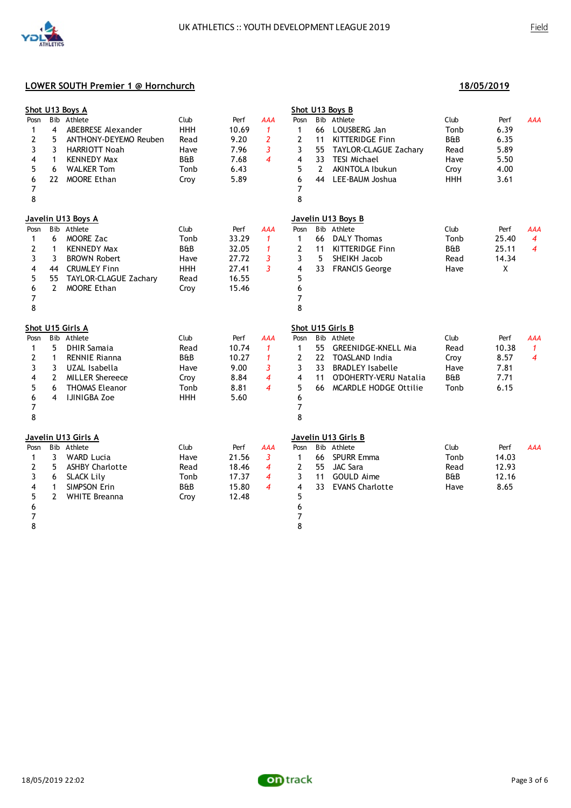|                     |                | Shot U13 Boys A                   |                        |               |                                |                |                | Shot U13 Boys B                              |                |       |              |
|---------------------|----------------|-----------------------------------|------------------------|---------------|--------------------------------|----------------|----------------|----------------------------------------------|----------------|-------|--------------|
| Posn                | 4              | Bib Athlete<br>ABEBRESE Alexander | Club<br><b>HHH</b>     | Perf<br>10.69 | <b>AAA</b>                     | Posn           |                | Bib Athlete                                  | Club<br>Tonb   | Perf  | <b>AAA</b>   |
| 1                   | 5              |                                   |                        |               | $\mathbf{1}$<br>$\overline{2}$ | 1              | 66             | LOUSBERG Jan                                 | <b>B&amp;B</b> | 6.39  |              |
| 2                   |                | ANTHONY-DEYEMO Reuben             | Read                   | 9.20          |                                | 2              | 11             | <b>KITTERIDGE Finn</b>                       |                | 6.35  |              |
| 3                   | 3              | HARRIOTT Noah                     | Have<br><b>B&amp;B</b> | 7.96          | 3<br>$\boldsymbol{4}$          | 3<br>4         | 55             | TAYLOR-CLAGUE Zachary<br><b>TESI Michael</b> | Read           | 5.89  |              |
| 4                   | $\mathbf{1}$   | <b>KENNEDY Max</b>                |                        | 7.68          |                                |                | 33             |                                              | Have           | 5.50  |              |
| 5                   | 6              | <b>WALKER Tom</b>                 | Tonb                   | 6.43          |                                | 5              | $\overline{2}$ | AKINTOLA Ibukun                              | Croy           | 4.00  |              |
| 6                   | 22             | <b>MOORE Ethan</b>                | Croy                   | 5.89          |                                | 6              | 44             | LEE-BAUM Joshua                              | <b>HHH</b>     | 3.61  |              |
| $\overline{7}$<br>8 |                |                                   |                        |               |                                | 7<br>8         |                |                                              |                |       |              |
|                     |                | Javelin U13 Boys A                |                        |               |                                |                |                | Javelin U13 Boys B                           |                |       |              |
| Posn                |                | Bib Athlete                       | Club                   | Perf          | <b>AAA</b>                     | Posn           |                | Bib Athlete                                  | Club           | Perf  | AAA          |
| 1                   | 6              | MOORE Zac                         | Tonb                   | 33.29         | $\mathbf{1}$                   | $\mathbf{1}$   | 66             | <b>DALY Thomas</b>                           | Tonb           | 25.40 | 4            |
| 2                   | 1              | <b>KENNEDY Max</b>                | <b>B&amp;B</b>         | 32.05         | $\mathbf{1}$                   | 2              | 11             | KITTERIDGE Finn                              | <b>B&amp;B</b> | 25.11 | 4            |
| 3                   | 3              | <b>BROWN Robert</b>               | Have                   | 27.72         | 3                              | 3              | 5              | SHEIKH Jacob                                 | Read           | 14.34 |              |
| 4                   | 44             | <b>CRUMLEY Finn</b>               | <b>HHH</b>             | 27.41         | 3                              | 4              |                | 33 FRANCIS George                            | Have           | X     |              |
| 5                   | 55             | TAYLOR-CLAGUE Zachary             | Read                   | 16.55         |                                | 5              |                |                                              |                |       |              |
| 6                   | $\mathbf{2}$   | MOORE Ethan                       | Croy                   | 15.46         |                                | 6              |                |                                              |                |       |              |
| 7                   |                |                                   |                        |               |                                | 7              |                |                                              |                |       |              |
| 8                   |                |                                   |                        |               |                                | 8              |                |                                              |                |       |              |
|                     |                | Shot U15 Girls A                  |                        |               |                                |                |                | Shot U15 Girls B                             |                |       |              |
| Posn                |                | Bib Athlete                       | Club                   | Perf          | <b>AAA</b>                     | Posn           |                | Bib Athlete                                  | Club           | Perf  | <b>AAA</b>   |
| $\mathbf{1}$        | 5              | <b>DHIR Samaja</b>                | Read                   | 10.74         | $\mathbf{1}$                   | $\mathbf{1}$   | 55             | <b>GREENIDGE-KNELL Mia</b>                   | Read           | 10.38 | $\mathbf{1}$ |
| 2                   | $\mathbf{1}$   | <b>RENNIE Rianna</b>              | B&B                    | 10.27         | $\mathbf{1}$                   | $\mathbf{2}$   |                | 22 TOASLAND India                            | Croy           | 8.57  | 4            |
| 3                   | 3              | UZAL Isabella                     | Have                   | 9.00          | 3                              | 3              |                | 33 BRADLEY Isabelle                          | Have           | 7.81  |              |
| 4                   | $\mathbf{2}$   | <b>MILLER Shereece</b>            | Croy                   | 8.84          | $\overline{4}$                 | 4              | 11             | O'DOHERTY-VERU Natalia                       | <b>B&amp;B</b> | 7.71  |              |
| 5                   | 6              | <b>THOMAS Eleanor</b>             | Tonb                   | 8.81          | $\boldsymbol{4}$               | 5              |                | 66 MCARDLE HODGE Ottilie                     | Tonb           | 6.15  |              |
| 6                   | 4              | <b>IJINIGBA Zoe</b>               | <b>HHH</b>             | 5.60          |                                | 6              |                |                                              |                |       |              |
| 7                   |                |                                   |                        |               |                                | 7              |                |                                              |                |       |              |
| 8                   |                |                                   |                        |               |                                | 8              |                |                                              |                |       |              |
|                     |                | <u>Javelin U13 Girls A</u>        |                        |               |                                |                |                | Javelin U13 Girls B                          |                |       |              |
| Posn                |                | Bib Athlete                       | Club                   | Perf          | <b>AAA</b>                     | Posn           |                | Bib Athlete                                  | Club           | Perf  | <b>AAA</b>   |
| 1                   | 3              | <b>WARD Lucia</b>                 | Have                   | 21.56         | 3                              | $\mathbf{1}$   |                | 66 SPURR Emma                                | Tonb           | 14.03 |              |
| 2                   | 5              | <b>ASHBY Charlotte</b>            | Read                   | 18.46         | $\overline{4}$                 | $\mathbf{2}$   | 55             | <b>JAC Sara</b>                              | Read           | 12.93 |              |
| 3                   | 6              | <b>SLACK Lily</b>                 | Tonb                   | 17.37         | 4                              | 3              | 11             | GOULD Aime                                   | B&B            | 12.16 |              |
| 4                   | $\mathbf{1}$   | <b>SIMPSON Erin</b>               | <b>B&amp;B</b>         | 15.80         | $\boldsymbol{4}$               | 4              | 33             | <b>EVANS Charlotte</b>                       | Have           | 8.65  |              |
| 5                   | $\overline{2}$ | <b>WHITE Breanna</b>              | Croy                   | 12.48         |                                | 5              |                |                                              |                |       |              |
| 6                   |                |                                   |                        |               |                                | 6              |                |                                              |                |       |              |
| $\overline{7}$      |                |                                   |                        |               |                                | $\overline{7}$ |                |                                              |                |       |              |
| 8                   |                |                                   |                        |               |                                | 8              |                |                                              |                |       |              |

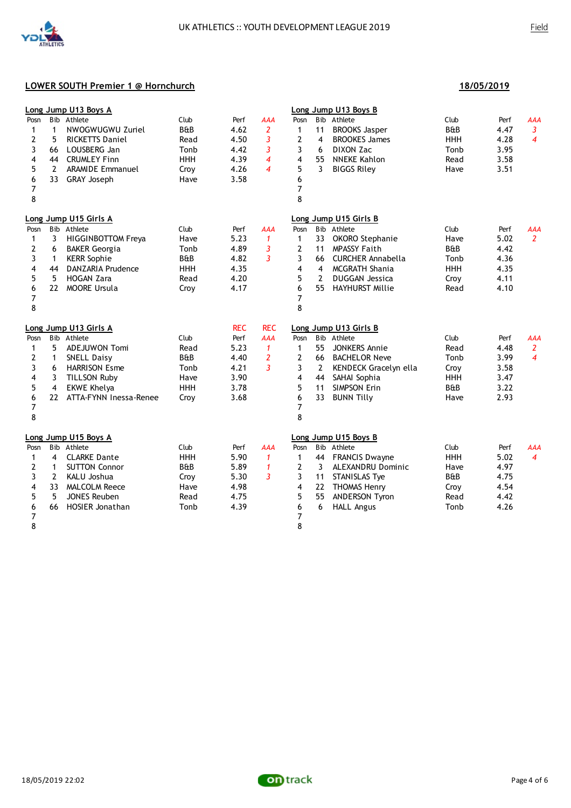

|      |                | Long Jump U13 Boys A      |                |            |                          |                |                | Long Jump U13 Boys B     |                |      |                |
|------|----------------|---------------------------|----------------|------------|--------------------------|----------------|----------------|--------------------------|----------------|------|----------------|
| Posn |                | Bib Athlete               | Club           | Perf       | <b>AAA</b>               | Posn           |                | Bib Athlete              | Club           | Perf | <b>AAA</b>     |
| 1    | $\mathbf{1}$   | NWOGWUGWU Zuriel          | <b>B&amp;B</b> | 4.62       | 2                        | $\mathbf{1}$   | 11             | <b>BROOKS Jasper</b>     | <b>B&amp;B</b> | 4.47 | 3              |
| 2    | 5              | <b>RICKETTS Daniel</b>    | Read           | 4.50       | 3                        | $\overline{2}$ | 4              | <b>BROOKES James</b>     | <b>HHH</b>     | 4.28 | $\overline{4}$ |
| 3    | 66             | LOUSBERG Jan              | Tonb           | 4.42       | 3                        | 3              | 6              | DIXON Zac                | Tonb           | 3.95 |                |
| 4    | 44             | <b>CRUMLEY Finn</b>       | <b>HHH</b>     | 4.39       | $\overline{\mathcal{A}}$ | 4              | 55             | <b>NNEKE Kahlon</b>      | Read           | 3.58 |                |
| 5    | $\overline{2}$ | <b>ARAMIDE Emmanuel</b>   | Croy           | 4.26       | $\overline{\mathcal{A}}$ | 5              | 3              | <b>BIGGS Riley</b>       | Have           | 3.51 |                |
| 6    | 33             | <b>GRAY Joseph</b>        | Have           | 3.58       |                          | 6              |                |                          |                |      |                |
| 7    |                |                           |                |            |                          | 7              |                |                          |                |      |                |
| 8    |                |                           |                |            |                          | 8              |                |                          |                |      |                |
|      |                | Long Jump U15 Girls A     |                |            |                          |                |                | Long Jump U15 Girls B    |                |      |                |
| Posn |                | Bib Athlete               | Club           | Perf       | <b>AAA</b>               | Posn           |                | Bib Athlete              | Club           | Perf | <b>AAA</b>     |
| 1    | 3              | <b>HIGGINBOTTOM Freya</b> | Have           | 5.23       | $\mathbf{1}$             | 1              | 33             | OKORO Stephanie          | Have           | 5.02 | $\overline{2}$ |
| 2    | 6              | <b>BAKER Georgia</b>      | Tonb           | 4.89       | 3                        | 2              | 11             | <b>MPASSY Faith</b>      | <b>B&amp;B</b> | 4.42 |                |
| 3    | 1              | <b>KERR Sophie</b>        | B&B            | 4.82       | 3                        | 3              | 66             | CURCHER Annabella        | Tonb           | 4.36 |                |
| 4    | 44             | <b>DANZARIA Prudence</b>  | <b>HHH</b>     | 4.35       |                          | 4              | $\overline{4}$ | <b>MCGRATH Shania</b>    | <b>HHH</b>     | 4.35 |                |
| 5    | 5              | <b>HOGAN Zara</b>         | Read           | 4.20       |                          | 5              | $\overline{2}$ | <b>DUGGAN Jessica</b>    | Croy           | 4.11 |                |
| 6    | 22             | <b>MOORE Ursula</b>       | Croy           | 4.17       |                          | 6              | 55             | <b>HAYHURST Millie</b>   | Read           | 4.10 |                |
| 7    |                |                           |                |            |                          | 7              |                |                          |                |      |                |
| 8    |                |                           |                |            |                          | 8              |                |                          |                |      |                |
|      |                | Long Jump U13 Girls A     |                | <b>REC</b> | <b>REC</b>               |                |                | Long Jump U13 Girls B    |                |      |                |
| Posn |                | Bib Athlete               | Club           | Perf       | <b>AAA</b>               | Posn           |                | Bib Athlete              | Club           | Perf | <b>AAA</b>     |
| 1    | 5              | ADEJUWON Tomi             | Read           | 5.23       | $\mathbf{1}$             | $\mathbf{1}$   | 55             | <b>JONKERS Annie</b>     | Read           | 4.48 | $\overline{2}$ |
| 2    | 1              | <b>SNELL Daisy</b>        | <b>B&amp;B</b> | 4.40       | $\overline{2}$           | $\overline{2}$ | 66             | <b>BACHELOR Neve</b>     | Tonb           | 3.99 | $\overline{4}$ |
| 3    | 6              | <b>HARRISON Esme</b>      | Tonb           | 4.21       | 3                        | 3              | $\overline{2}$ | KENDECK Gracelyn ella    | Croy           | 3.58 |                |
| 4    | 3              | <b>TILLSON Ruby</b>       | Have           | 3.90       |                          | 4              | 44             | SAHAI Sophia             | <b>HHH</b>     | 3.47 |                |
| 5    | 4              | <b>EKWE Khelya</b>        | <b>HHH</b>     | 3.78       |                          | 5              | 11             | <b>SIMPSON Erin</b>      | <b>B&amp;B</b> | 3.22 |                |
| 6    | 22             | ATTA-FYNN Inessa-Renee    | Croy           | 3.68       |                          | 6              | 33             | <b>BUNN Tilly</b>        | Have           | 2.93 |                |
| 7    |                |                           |                |            |                          | 7              |                |                          |                |      |                |
| 8    |                |                           |                |            |                          | 8              |                |                          |                |      |                |
|      |                | Long Jump U15 Boys A      |                |            |                          |                |                | Long Jump U15 Boys B     |                |      |                |
| Posn | <b>B</b> ib    | Athlete                   | Club           | Perf       | AAA                      | Posn           |                | Bib Athlete              | Club           | Perf | <b>AAA</b>     |
| 1    | 4              | <b>CLARKE Dante</b>       | <b>HHH</b>     | 5.90       | $\mathbf{1}$             | 1              | 44             | <b>FRANCIS Dwayne</b>    | <b>HHH</b>     | 5.02 | $\overline{4}$ |
| 2    | $\mathbf{1}$   | <b>SUTTON Connor</b>      | <b>B&amp;B</b> | 5.89       | $\mathbf{1}$             | 2              | 3              | <b>ALEXANDRU Dominic</b> | Have           | 4.97 |                |
| 3    | $\overline{2}$ | KALU Joshua               | Croy           | 5.30       | 3                        | 3              | 11             | <b>STANISLAS Tye</b>     | <b>B&amp;B</b> | 4.75 |                |
| 4    | 33             | <b>MALCOLM Reece</b>      | Have           | 4.98       |                          | 4              | 22             | <b>THOMAS Henry</b>      | Croy           | 4.54 |                |
| 5    | 5              | <b>JONES Reuben</b>       | Read           | 4.75       |                          | 5              | 55             | <b>ANDERSON Tyron</b>    | Read           | 4.42 |                |
| 6    | 66             | <b>HOSIER Jonathan</b>    | Tonb           | 4.39       |                          | 6              | 6              | <b>HALL Angus</b>        | Tonb           | 4.26 |                |
| 7    |                |                           |                |            |                          | $\overline{7}$ |                |                          |                |      |                |
| 8    |                |                           |                |            |                          | 8              |                |                          |                |      |                |

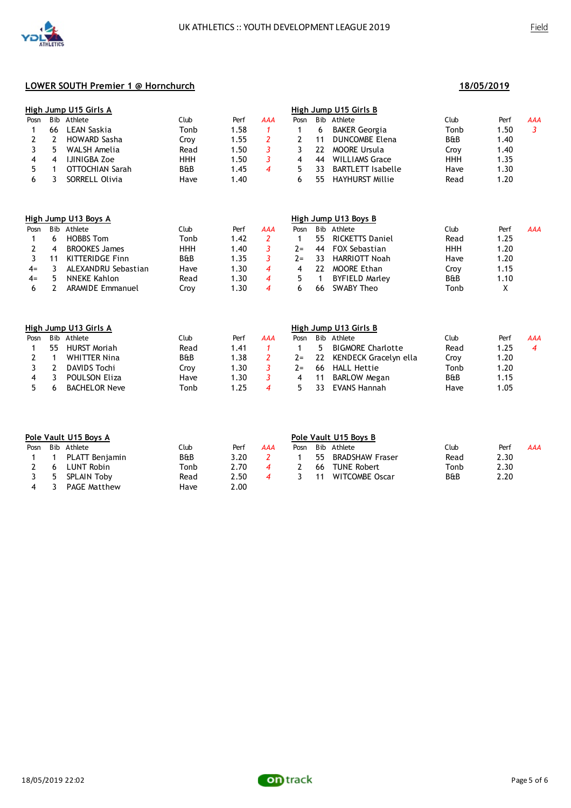|      |      | High Jump U15 Girls A |      |                  |     | High Jump U15 Girls B |     |                          |                |      |            |  |
|------|------|-----------------------|------|------------------|-----|-----------------------|-----|--------------------------|----------------|------|------------|--|
| Posn | Bib. | Athlete               | Club | Perf             | AAA | Posn                  | Bib | Athlete                  | Club           | Perf | <b>AAA</b> |  |
|      | 66   | LEAN Saskia           | Tonb | 1.58             |     |                       |     | BAKER Georgia            | Tonb           | 1.50 |            |  |
|      |      | HOWARD Sasha          | Crov | 1.55             |     |                       |     | DUNCOMBE Elena           | <b>B&amp;B</b> | 1.40 |            |  |
|      |      | WALSH Amelia          | Read | .50              |     |                       |     | MOORE Ursula             | Crov           | 1.40 |            |  |
|      |      | IJINIGBA Zoe          | ннн  | .50              |     |                       | 44  | <b>WILLIAMS Grace</b>    | <b>HHH</b>     | 1.35 |            |  |
|      |      | OTTOCHIAN Sarah       | B&B  | 1.45             |     |                       |     | <b>BARTLETT Isabelle</b> | Have           | 1.30 |            |  |
|      |      | SORRELL Olivia        | Have | $\overline{.40}$ |     |                       | 55  | HAYHURST Millie          | Read           | 1.20 |            |  |

|       |     | High Jump U13 Boys A    |            |       |     | High Jump U13 Boys B |      |                       |                |       |     |
|-------|-----|-------------------------|------------|-------|-----|----------------------|------|-----------------------|----------------|-------|-----|
| Posn  | Bib | Athlete                 | Jlub       | Perf  | AAA | Posn                 | Bib. | Athlete               | Club           | Perf  | AAA |
|       |     | <b>HOBBS Tom</b>        | Tonb       | 1.42  |     |                      | 55   | RICKETTS Daniel       | Read           | 1.25  |     |
|       | 4   | <b>BROOKES</b> James    | <b>HHH</b> | 1.40  |     | $7 =$                | 44   | <b>FOX Sebastian</b>  | ннн            | 20. ا |     |
|       |     | KITTERIDGE Finn         | B&B        | 1.35  |     | $7 =$                | 33   | HARRIOTT Noah         | Have           | 1.20  |     |
| $4=$  |     | ALEXANDRU Sebastian     | Have       | 1.30  |     |                      | 77   | <b>MOORE Ethan</b>    | Crov           | 1.15  |     |
| $4 =$ |     | NNEKE Kahlon            | Read       | 1.30  |     |                      |      | <b>BYFIELD Marley</b> | <b>B&amp;B</b> | 1.10  |     |
|       |     | <b>ARAMIDE Emmanuel</b> | Crov       | 30. ا |     |                      | 66   | SWARY Theo            | Tonb           |       |     |

|      | High Jump U13 Girls A |                      |      |       |     |       | High Jump U13 Girls B |                          |      |      |     |  |  |  |
|------|-----------------------|----------------------|------|-------|-----|-------|-----------------------|--------------------------|------|------|-----|--|--|--|
| Posn |                       | Bib Athlete          | Club | Perf  | AAA | Posn  |                       | Bib Athlete              | Club | Perf | AAA |  |  |  |
|      | 55.                   | HURST Moriah         | Read | 41. ا |     |       | 5.                    | <b>BIGMORE Charlotte</b> | Read | 1.25 |     |  |  |  |
|      |                       | <b>WHITTER Nina</b>  | B&B  | 1.38  |     | $2 =$ |                       | 22 KENDECK Gracelyn ella | Croy | 1.20 |     |  |  |  |
|      |                       | DAVIDS Tochi         | Crov | 1.30  |     | $2 =$ | 66                    | HALL Hettie              | Tonb | 1.20 |     |  |  |  |
|      |                       | POULSON Eliza        | Have | 1.30  |     | 4     |                       | <b>BARLOW Megan</b>      | B&B  | 1.15 |     |  |  |  |
|      |                       | <b>BACHELOR Neve</b> | Tonb | 1.25  |     |       | 33                    | EVANS Hannah             | Have | 1.05 |     |  |  |  |

|      | Pole Vault U15 Boys A |                     |      |      |     | Pole Vault U15 Boys B |    |                    |      |      |     |  |  |
|------|-----------------------|---------------------|------|------|-----|-----------------------|----|--------------------|------|------|-----|--|--|
| Posn |                       | Bib Athlete         | Club | Perf | AAA | Posn                  |    | Bib Athlete        | Club | Perf | AAA |  |  |
|      |                       | PLATT Benjamin      | B&B  | 3.20 |     |                       | 55 | BRADSHAW Fraser    | Read | 2.30 |     |  |  |
|      |                       | LUNT Robin          | Tonb | 2.70 |     |                       | 66 | <b>TUNE Robert</b> | Tonb | 2.30 |     |  |  |
|      | -5.                   | SPLAIN Toby         | Read | 2.50 |     |                       | 11 | WITCOMBE Oscar     | B&B  | 2.20 |     |  |  |
|      |                       | <b>PAGE Matthew</b> | Have | 2.00 |     |                       |    |                    |      |      |     |  |  |

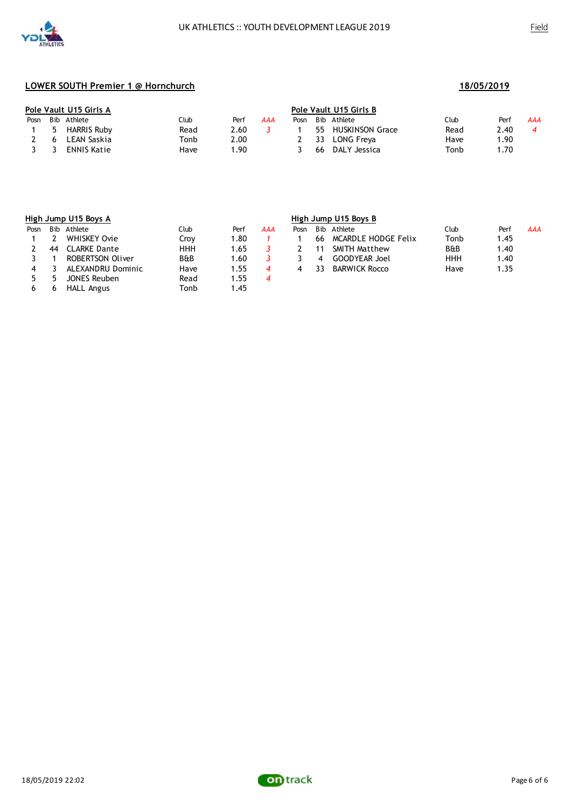

| Pole Vault U15 Girls A |                    |      |      |     | <b>Pole Vault U15 Girls B</b> |     |                 |      |       |     |  |
|------------------------|--------------------|------|------|-----|-------------------------------|-----|-----------------|------|-------|-----|--|
|                        | Posn Bib Athlete   | Club | Perf | AAA | Posn                          |     | Bib Athlete     | Club | Perf  | AAA |  |
| 5.                     | <b>HARRIS Ruby</b> | Read | 2.60 |     |                               | 55  | HUSKINSON Grace | Read | 2.40  |     |  |
| 6                      | LEAN Saskia        | Tonb | 2.00 |     |                               | -33 | LONG Freya      | Have | 90. ا |     |  |
| $\mathbf{R}$           | ENNIS Katie        | Have | .90  |     |                               | 66  | DALY Jessica    | Tonb | 70. ا |     |  |

|      |     | High Jump U15 Boys A |                |      |     | High Jump U15 Boys B |      |                      |                |      |     |  |
|------|-----|----------------------|----------------|------|-----|----------------------|------|----------------------|----------------|------|-----|--|
| Posn | Bib | Athlete              | Club           | Perf | AAA | Posn                 | Bib. | Athlete              | Club           | Perf | AAA |  |
|      |     | WHISKEY Ovie         | Crov           | 1.80 |     |                      | 66   | MCARDLE HODGE Felix  | Tonb           | 1.45 |     |  |
|      | 44  | CLARKE Dante         | ннн            | 1.65 |     |                      |      | <b>SMITH Matthew</b> | <b>B&amp;B</b> | 1.40 |     |  |
|      |     | ROBERTSON Oliver     | <b>B&amp;B</b> | 1.60 |     |                      | 4    | <b>GOODYEAR</b> Joel | <b>HHH</b>     | 1.40 |     |  |
| 4    |     | ALEXANDRU Dominic    | Have           | 1.55 |     |                      | 33   | <b>BARWICK Rocco</b> | Have           | 1.35 |     |  |
|      |     | JONES Reuben         | Read           | 1.55 | 4   |                      |      |                      |                |      |     |  |
|      |     | HALL Angus           | Tonb           | 1.45 |     |                      |      |                      |                |      |     |  |



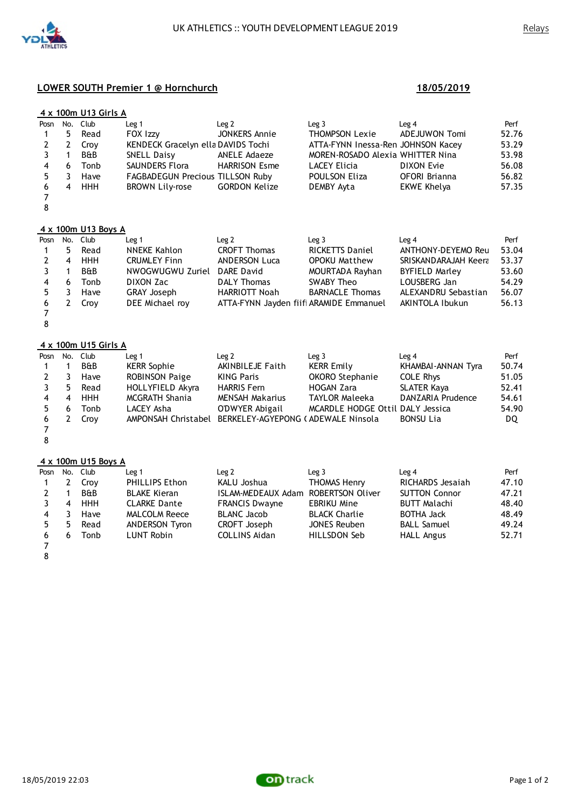



|                |               | 4 x 100m U13 Girls A |                                         |                      |                                    |               |       |
|----------------|---------------|----------------------|-----------------------------------------|----------------------|------------------------------------|---------------|-------|
|                | Posn No. Club |                      | Leg 1                                   | Leq <sub>2</sub>     | Leq <sub>3</sub>                   | Leg 4         | Perf  |
| $\overline{1}$ | 5.            | Read                 | FOX Izzy                                | JONKERS Annie        | <b>THOMPSON Lexie</b>              | ADEJUWON Tomi | 52.76 |
| 2              | 2             | Crov                 | KENDECK Gracelyn ella DAVIDS Tochi      |                      | ATTA-FYNN Inessa-Ren JOHNSON Kacey |               | 53.29 |
|                | -1            | <b>B&amp;B</b>       | SNELL Daisy                             | ANELE Adaeze         | MOREN-ROSADO Alexia WHITTER Nina   |               | 53.98 |
| 4              | 6             | Tonb                 | SAUNDERS Flora                          | <b>HARRISON Esme</b> | LACEY Elicia                       | DIXON Evie    | 56.08 |
| 5              |               | Have                 | <b>FAGBADEGUN Precious TILLSON Ruby</b> |                      | POULSON Eliza                      | OFORI Brianna | 56.82 |
| 6              | 4             | <b>HHH</b>           | <b>BROWN Lily-rose</b>                  | <b>GORDON Kelize</b> | DEMBY Ayta                         | EKWE Khelya   | 57.35 |
|                |               |                      |                                         |                      |                                    |               |       |

### **4 x 100m U13 Boys A**

| Posn           |   | No. Club   | Leg 1               | Leg 2                                   | Leq3                   | Leq <sub>4</sub>      | Perf  |
|----------------|---|------------|---------------------|-----------------------------------------|------------------------|-----------------------|-------|
| $\mathbf{1}$   | 5 | Read       | NNEKE Kahlon        | <b>CROFT Thomas</b>                     | <b>RICKETTS Daniel</b> | ANTHONY-DEYEMO Reu    | 53.04 |
| $\overline{2}$ | 4 | <b>HHH</b> | <b>CRUMLEY Finn</b> | <b>ANDERSON Luca</b>                    | <b>OPOKU Matthew</b>   | SRISKANDARAJAH Keera  | 53.37 |
| 3              |   | B&B        | NWOGWUGWU Zuriel    | DARE David                              | MOURTADA Rayhan        | <b>BYFIELD Marley</b> | 53.60 |
| 4              | 6 | Tonb       | DIXON Zac           | <b>DALY Thomas</b>                      | SWABY Theo             | LOUSBERG Jan          | 54.29 |
| 5.             |   | Have       | <b>GRAY Joseph</b>  | <b>HARRIOTT Noah</b>                    | <b>BARNACLE Thomas</b> | ALEXANDRU Sebastian   | 56.07 |
| 6              |   | Crov       | DEE Michael roy     | ATTA-FYNN Jayden fiifi ARAMIDE Emmanuel |                        | AKINTOLA Ibukun       | 56.13 |
|                |   |            |                     |                                         |                        |                       |       |

#### **4 x 100m U15 Girls A**

| Posn No. Club  |    |                | Leg 1                                                  | Leg 2             | Leq <sub>3</sub>                 | Leg 4              | Perf  |
|----------------|----|----------------|--------------------------------------------------------|-------------------|----------------------------------|--------------------|-------|
| $\overline{1}$ |    | <b>B&amp;B</b> | <b>KERR Sophie</b>                                     | AKINBILEJE Faith  | KERR Emily                       | KHAMBAI-ANNAN Tyra | 50.74 |
| 2              | -3 | Have           | <b>ROBINSON Paige</b>                                  | KING Paris        | <b>OKORO Stephanie</b>           | <b>COLE Rhys</b>   | 51.05 |
| 3              | 5. | Read           | HOLLYFIELD Akyra                                       | <b>HARRIS Fem</b> | HOGAN Zara                       | <b>SLATER Kaya</b> | 52.41 |
| 4              | 4  | <b>HHH</b>     | <b>MCGRATH Shania</b>                                  | MENSAH Makarius   | TAYLOR Maleeka                   | DANZARIA Prudence  | 54.61 |
| 5.             | 6  | Tonb           | LACEY Asha                                             | O'DWYER Abigail   | MCARDLE HODGE Ottil DALY Jessica |                    | 54.90 |
| 6              |    | Croy           | AMPONSAH Christabel BERKELEY-AGYEPONG (ADEWALE Ninsola |                   |                                  | <b>BONSU Lia</b>   | DQ.   |
|                |    |                |                                                        |                   |                                  |                    |       |

# **4 x 100m U15 Boys A**

| Posn |   | No. Club       | Leg <sub>1</sub>      | Leg 2                               | Leq <sub>3</sub>     | Leg 4                | Perf  |
|------|---|----------------|-----------------------|-------------------------------------|----------------------|----------------------|-------|
|      |   | Crov           | <b>PHILLIPS Ethon</b> | KALU Joshua                         | THOMAS Henry         | RICHARDS Jesajah     | 47.10 |
| 2    |   | <b>B&amp;B</b> | <b>BLAKE Kieran</b>   | ISLAM-MEDEAUX Adam ROBERTSON Oliver |                      | <b>SUTTON Connor</b> | 47.21 |
| 3    | 4 | <b>HHH</b>     | <b>CLARKE Dante</b>   | <b>FRANCIS Dwayne</b>               | <b>EBRIKU Mine</b>   | <b>BUTT Malachi</b>  | 48.40 |
| 4    |   | Have           | <b>MALCOLM Reece</b>  | BLANC Jacob                         | <b>BLACK Charlie</b> | <b>BOTHA Jack</b>    | 48.49 |
| 5    | 5 | Read           | ANDERSON Tyron        | CROFT Joseph                        | <b>JONES Reuben</b>  | <b>BALL Samuel</b>   | 49.24 |
| 6.   | h | Tonb           | LUNT Robin            | <b>COLLINS Aidan</b>                | HILLSDON Seb         | <b>HALL Angus</b>    | 52.71 |
|      |   |                |                       |                                     |                      |                      |       |